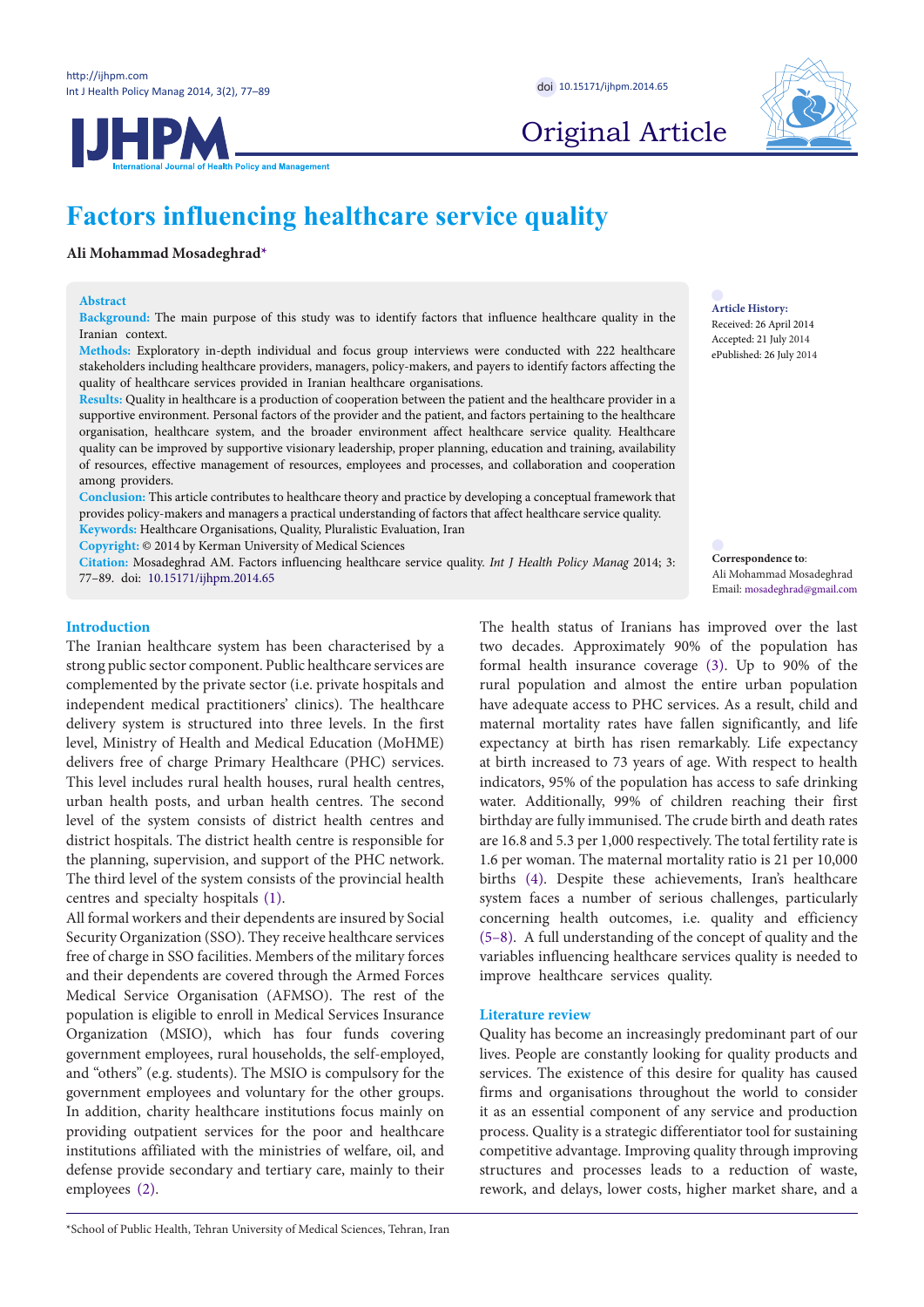

Original Article

# **UHPM**

# **Factors influencing healthcare service quality**

# **Ali Mohammad Mosadeghra[d\\*](#page-0-0)**

# **Abstract**

**Background:** The main purpose of this study was to identify factors that influence healthcare quality in the Iranian context.

**Methods:** Exploratory in-depth individual and focus group interviews were conducted with 222 healthcare stakeholders including healthcare providers, managers, policy-makers, and payers to identify factors affecting the quality of healthcare services provided in Iranian healthcare organisations.

**Results:** Quality in healthcare is a production of cooperation between the patient and the healthcare provider in a supportive environment. Personal factors of the provider and the patient, and factors pertaining to the healthcare organisation, healthcare system, and the broader environment affect healthcare service quality. Healthcare quality can be improved by supportive visionary leadership, proper planning, education and training, availability of resources, effective management of resources, employees and processes, and collaboration and cooperation among providers.

**Conclusion:** This article contributes to healthcare theory and practice by developing a conceptual framework that provides policy-makers and managers a practical understanding of factors that affect healthcare service quality. **Keywords:** Healthcare Organisations, Quality, Pluralistic Evaluation, Iran

**Copyright:** © 2014 by Kerman University of Medical Sciences

**Citation:** Mosadeghrad AM. Factors influencing healthcare service quality. *Int J Health Policy Manag* 2014; 3: 77–89. doi: [10.15171/ijhpm.2014.65](http://dx.doi.org/10.15171/ijhpm.2014.65)

### **Introduction**

The Iranian healthcare system has been characterised by a strong public sector component. Public healthcare services are complemented by the private sector (i.e. private hospitals and independent medical practitioners' clinics). The healthcare delivery system is structured into three levels. In the first level, Ministry of Health and Medical Education (MoHME) delivers free of charge Primary Healthcare (PHC) services. This level includes rural health houses, rural health centres, urban health posts, and urban health centres. The second level of the system consists of district health centres and district hospitals. The district health centre is responsible for the planning, supervision, and support of the PHC network. The third level of the system consists of the provincial health centres and specialty hospitals [\(1](#page-10-0)).

<span id="page-0-0"></span>All formal workers and their dependents are insured by Social Security Organization (SSO). They receive healthcare services free of charge in SSO facilities. Members of the military forces and their dependents are covered through the Armed Forces Medical Service Organisation (AFMSO). The rest of the population is eligible to enroll in Medical Services Insurance Organization (MSIO), which has four funds covering government employees, rural households, the self-employed, and "others" (e.g. students). The MSIO is compulsory for the government employees and voluntary for the other groups. In addition, charity healthcare institutions focus mainly on providing outpatient services for the poor and healthcare institutions affiliated with the ministries of welfare, oil, and defense provide secondary and tertiary care, mainly to their employees ([2\)](#page-10-1).

The health status of Iranians has improved over the last two decades. Approximately 90% of the population has formal health insurance coverage [\(3](#page-10-2)). Up to 90% of the rural population and almost the entire urban population have adequate access to PHC services. As a result, child and maternal mortality rates have fallen significantly, and life expectancy at birth has risen remarkably. Life expectancy at birth increased to 73 years of age. With respect to health

**Correspondence to**: Ali Mohammad Mosadeghrad Email: mosadeghrad@gmail.com

**Article History:** Received: 26 April 2014 Accepted: 21 July 2014 ePublished: 26 July 2014

indicators, 95% of the population has access to safe drinking water. Additionally, 99% of children reaching their first birthday are fully immunised. The crude birth and death rates are 16.8 and 5.3 per 1,000 respectively. The total fertility rate is 1.6 per woman. The maternal mortality ratio is 21 per 10,000 births [\(4\)](#page-10-3). Despite these achievements, Iran's healthcare system faces a number of serious challenges, particularly concerning health outcomes, i.e. quality and efficiency [\(5](#page-10-4)[–8](#page-11-0)). A full understanding of the concept of quality and the variables influencing healthcare services quality is needed to improve healthcare services quality.

# **Literature review**

Quality has become an increasingly predominant part of our lives. People are constantly looking for quality products and services. The existence of this desire for quality has caused firms and organisations throughout the world to consider it as an essential component of any service and production process. Quality is a strategic differentiator tool for sustaining competitive advantage. Improving quality through improving structures and processes leads to a reduction of waste, rework, and delays, lower costs, higher market share, and a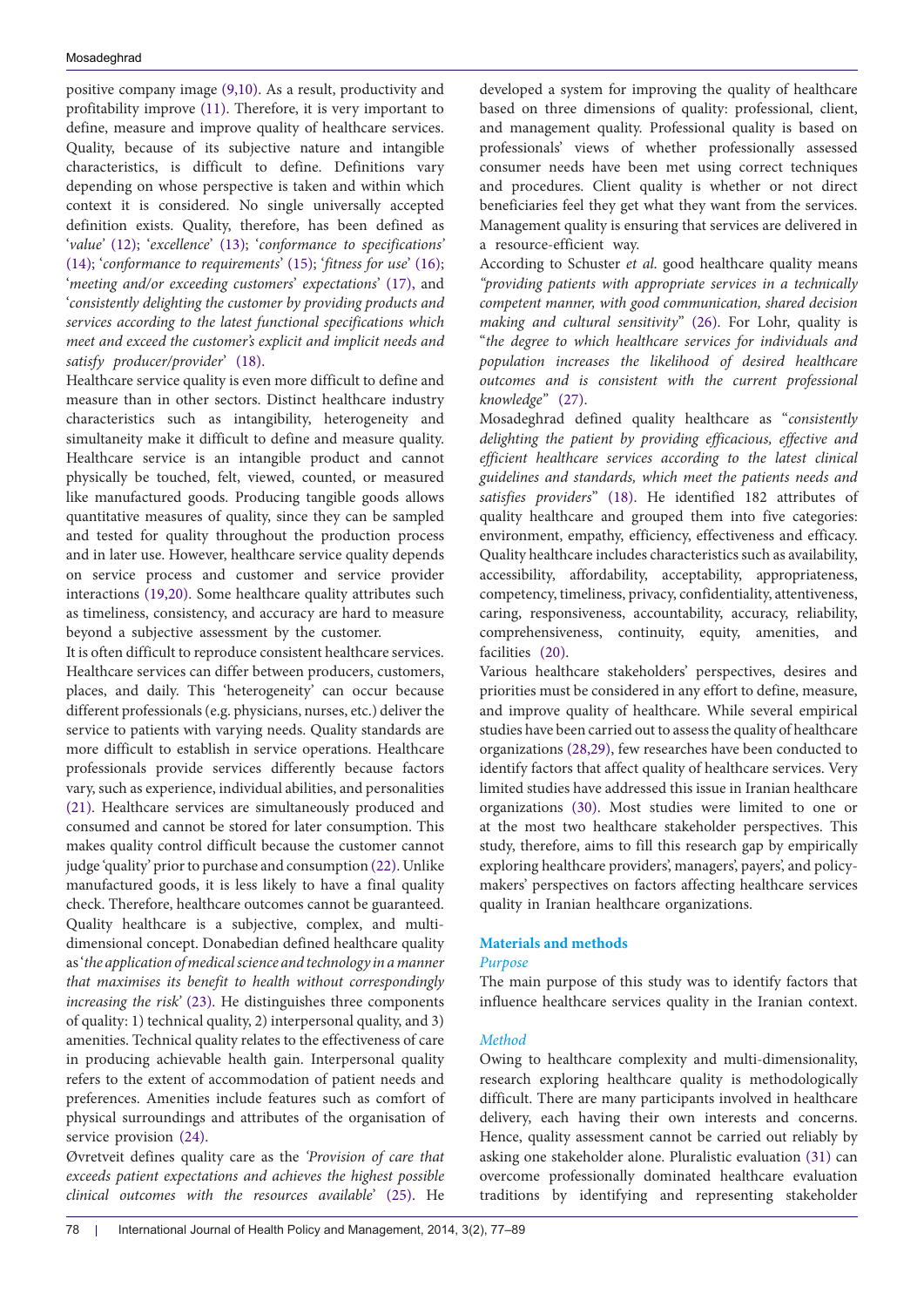### Mosadeghrad

positive company image [\(9](#page-11-1)[,10\)](#page-11-2). As a result, productivity and profitability improve ([11](#page-11-3)). Therefore, it is very important to define, measure and improve quality of healthcare services. Quality, because of its subjective nature and intangible characteristics, is difficult to define. Definitions vary depending on whose perspective is taken and within which context it is considered. No single universally accepted definition exists. Quality, therefore, has been defined as '*value'* ([12\)](#page-11-4); '*excellence*' [\(13\)](#page-11-5); '*conformance to specifications'*  ([14\)](#page-11-6); '*conformance to requirements*' ([15](#page-11-7)); '*fitness for use*' ([16\)](#page-11-8); '*meeting and/or exceeding customers*' *expectations*' [\(17\)](#page-11-9), and '*consistently delighting the customer by providing products and services according to the latest functional specifications which meet and exceed the customer's explicit and implicit needs and satisfy producer/provider*' [\(18](#page-11-10)).

Healthcare service quality is even more difficult to define and measure than in other sectors. Distinct healthcare industry characteristics such as intangibility, heterogeneity and simultaneity make it difficult to define and measure quality. Healthcare service is an intangible product and cannot physically be touched, felt, viewed, counted, or measured like manufactured goods. Producing tangible goods allows quantitative measures of quality, since they can be sampled and tested for quality throughout the production process and in later use. However, healthcare service quality depends on service process and customer and service provider interactions [\(19](#page-11-11)[,20\)](#page-11-12). Some healthcare quality attributes such as timeliness, consistency, and accuracy are hard to measure beyond a subjective assessment by the customer.

It is often difficult to reproduce consistent healthcare services. Healthcare services can differ between producers, customers, places, and daily. This 'heterogeneity' can occur because different professionals (e.g. physicians, nurses, etc.) deliver the service to patients with varying needs. Quality standards are more difficult to establish in service operations. Healthcare professionals provide services differently because factors vary, such as experience, individual abilities, and personalities ([21\)](#page-11-13). Healthcare services are simultaneously produced and consumed and cannot be stored for later consumption. This makes quality control difficult because the customer cannot judge 'quality' prior to purchase and consumption ([22](#page-11-14)). Unlike manufactured goods, it is less likely to have a final quality check. Therefore, healthcare outcomes cannot be guaranteed. Quality healthcare is a subjective, complex, and multidimensional concept. Donabedian defined healthcare quality as '*the application of medical science and technology in a manner that maximises its benefit to health without correspondingly increasing the risk'* ([23](#page-11-15)). He distinguishes three components of quality: 1) technical quality, 2) interpersonal quality, and 3) amenities. Technical quality relates to the effectiveness of care in producing achievable health gain. Interpersonal quality refers to the extent of accommodation of patient needs and preferences. Amenities include features such as comfort of physical surroundings and attributes of the organisation of service provision ([24\)](#page-11-16).

Øvretveit defines quality care as the *'Provision of care that exceeds patient expectations and achieves the highest possible clinical outcomes with the resources available*' ([25](#page-11-17)). He developed a system for improving the quality of healthcare based on three dimensions of quality: professional, client, and management quality. Professional quality is based on professionals' views of whether professionally assessed consumer needs have been met using correct techniques and procedures. Client quality is whether or not direct beneficiaries feel they get what they want from the services. Management quality is ensuring that services are delivered in a resource-efficient way.

According to Schuster *et al*. good healthcare quality means *"providing patients with appropriate services in a technically competent manner, with good communication, shared decision making and cultural sensitivity*" [\(26\)](#page-11-18). For Lohr, quality is "*the degree to which healthcare services for individuals and population increases the likelihood of desired healthcare outcomes and is consistent with the current professional knowledge"* [\(27\)](#page-11-19).

Mosadeghrad defined quality healthcare as "*consistently delighting the patient by providing efficacious, effective and efficient healthcare services according to the latest clinical guidelines and standards, which meet the patients needs and satisfies providers*" [\(18\)](#page-11-10). He identified 182 attributes of quality healthcare and grouped them into five categories: environment, empathy, efficiency, effectiveness and efficacy. Quality healthcare includes characteristics such as availability, accessibility, affordability, acceptability, appropriateness, competency, timeliness, privacy, confidentiality, attentiveness, caring, responsiveness, accountability, accuracy, reliability, comprehensiveness, continuity, equity, amenities, and facilities [\(20](#page-11-12)).

Various healthcare stakeholders' perspectives, desires and priorities must be considered in any effort to define, measure, and improve quality of healthcare. While several empirical studies have been carried out to assess the quality of healthcare organizations ([28](#page-11-20),[29](#page-11-21)), few researches have been conducted to identify factors that affect quality of healthcare services. Very limited studies have addressed this issue in Iranian healthcare organizations ([30](#page-11-22)). Most studies were limited to one or at the most two healthcare stakeholder perspectives. This study, therefore, aims to fill this research gap by empirically exploring healthcare providers', managers', payers', and policymakers' perspectives on factors affecting healthcare services quality in Iranian healthcare organizations.

# **Materials and methods**

# *Purpose*

The main purpose of this study was to identify factors that influence healthcare services quality in the Iranian context.

### *Method*

Owing to healthcare complexity and multi-dimensionality, research exploring healthcare quality is methodologically difficult. There are many participants involved in healthcare delivery, each having their own interests and concerns. Hence, quality assessment cannot be carried out reliably by asking one stakeholder alone. Pluralistic evaluation ([31](#page-11-23)) can overcome professionally dominated healthcare evaluation traditions by identifying and representing stakeholder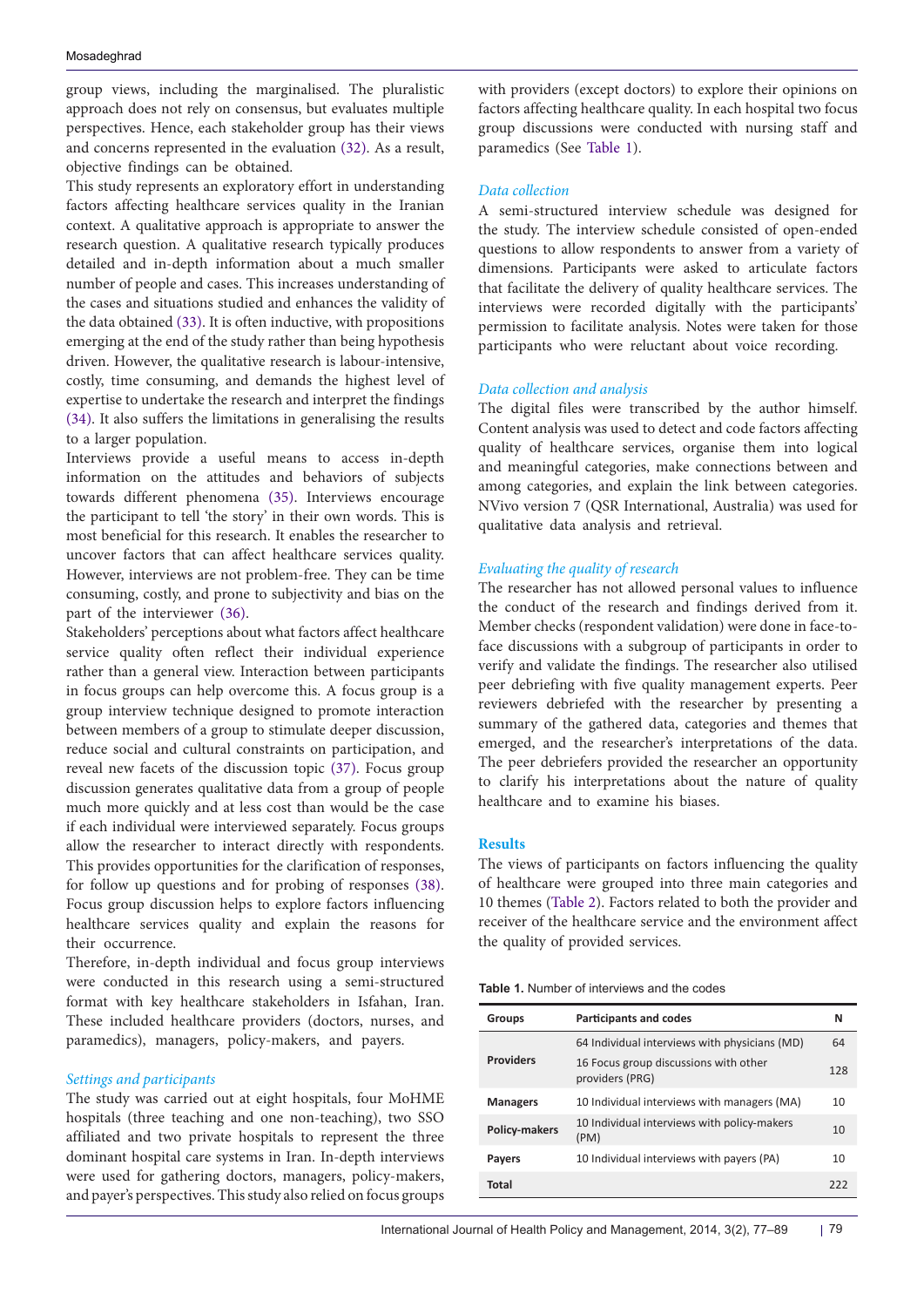group views, including the marginalised. The pluralistic approach does not rely on consensus, but evaluates multiple perspectives. Hence, each stakeholder group has their views and concerns represented in the evaluation [\(32\)](#page-11-24). As a result, objective findings can be obtained.

This study represents an exploratory effort in understanding factors affecting healthcare services quality in the Iranian context. A qualitative approach is appropriate to answer the research question. A qualitative research typically produces detailed and in-depth information about a much smaller number of people and cases. This increases understanding of the cases and situations studied and enhances the validity of the data obtained [\(33\)](#page-11-25). It is often inductive, with propositions emerging at the end of the study rather than being hypothesis driven. However, the qualitative research is labour-intensive, costly, time consuming, and demands the highest level of expertise to undertake the research and interpret the findings ([34\)](#page-11-26). It also suffers the limitations in generalising the results to a larger population.

Interviews provide a useful means to access in-depth information on the attitudes and behaviors of subjects towards different phenomena [\(35](#page-11-27)). Interviews encourage the participant to tell 'the story' in their own words. This is most beneficial for this research. It enables the researcher to uncover factors that can affect healthcare services quality. However, interviews are not problem-free. They can be time consuming, costly, and prone to subjectivity and bias on the part of the interviewer [\(36\)](#page-11-28).

Stakeholders' perceptions about what factors affect healthcare service quality often reflect their individual experience rather than a general view. Interaction between participants in focus groups can help overcome this. A focus group is a group interview technique designed to promote interaction between members of a group to stimulate deeper discussion, reduce social and cultural constraints on participation, and reveal new facets of the discussion topic [\(37](#page-11-29)). Focus group discussion generates qualitative data from a group of people much more quickly and at less cost than would be the case if each individual were interviewed separately. Focus groups allow the researcher to interact directly with respondents. This provides opportunities for the clarification of responses, for follow up questions and for probing of responses ([38\)](#page-11-30). Focus group discussion helps to explore factors influencing healthcare services quality and explain the reasons for their occurrence.

Therefore, in-depth individual and focus group interviews were conducted in this research using a semi-structured format with key healthcare stakeholders in Isfahan, Iran. These included healthcare providers (doctors, nurses, and paramedics), managers, policy-makers, and payers.

# *Settings and participants*

The study was carried out at eight hospitals, four MoHME hospitals (three teaching and one non-teaching), two SSO affiliated and two private hospitals to represent the three dominant hospital care systems in Iran. In-depth interviews were used for gathering doctors, managers, policy-makers, and payer's perspectives. This study also relied on focus groups

with providers (except doctors) to explore their opinions on factors affecting healthcare quality. In each hospital two focus group discussions were conducted with nursing staff and paramedics (See [Table 1\)](#page-2-0).

# *Data collection*

A semi-structured interview schedule was designed for the study. The interview schedule consisted of open-ended questions to allow respondents to answer from a variety of dimensions. Participants were asked to articulate factors that facilitate the delivery of quality healthcare services. The interviews were recorded digitally with the participants' permission to facilitate analysis. Notes were taken for those participants who were reluctant about voice recording.

# *Data collection and analysis*

The digital files were transcribed by the author himself. Content analysis was used to detect and code factors affecting quality of healthcare services, organise them into logical and meaningful categories, make connections between and among categories, and explain the link between categories. NVivo version 7 (QSR International, Australia) was used for qualitative data analysis and retrieval.

### *Evaluating the quality of research*

The researcher has not allowed personal values to influence the conduct of the research and findings derived from it. Member checks (respondent validation) were done in face-toface discussions with a subgroup of participants in order to verify and validate the findings. The researcher also utilised peer debriefing with five quality management experts. Peer reviewers debriefed with the researcher by presenting a summary of the gathered data, categories and themes that emerged, and the researcher's interpretations of the data. The peer debriefers provided the researcher an opportunity to clarify his interpretations about the nature of quality healthcare and to examine his biases.

### **Results**

The views of participants on factors influencing the quality of healthcare were grouped into three main categories and 10 themes [\(Table 2](#page-3-0)). Factors related to both the provider and receiver of the healthcare service and the environment affect the quality of provided services.

<span id="page-2-0"></span>**Table 1.** Number of interviews and the codes

| <b>Groups</b>        | <b>Participants and codes</b>                             | Ν   |
|----------------------|-----------------------------------------------------------|-----|
| <b>Providers</b>     | 64 Individual interviews with physicians (MD)             | 64  |
|                      | 16 Focus group discussions with other<br>providers (PRG)  | 128 |
| <b>Managers</b>      | 10 Individual interviews with managers (MA)               | 10  |
| <b>Policy-makers</b> | 10 Individual interviews with policy-makers<br>10<br>(PM) |     |
| Payers               | 10 Individual interviews with payers (PA)                 | 10  |
| <b>Total</b>         |                                                           | 222 |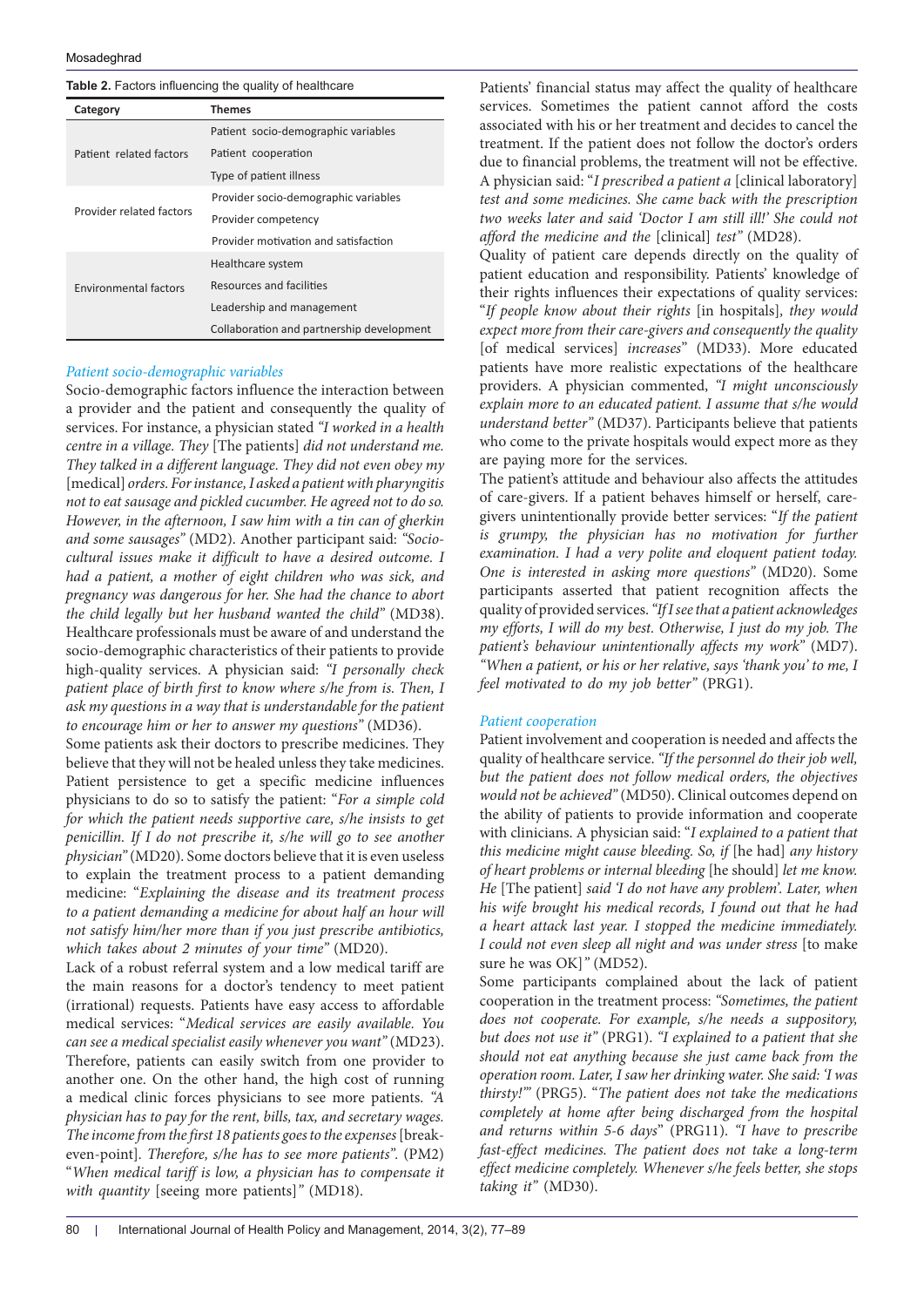<span id="page-3-0"></span>**Table 2.** Factors influencing the quality of healthcare

| Category                     | <b>Themes</b>                             |
|------------------------------|-------------------------------------------|
|                              | Patient socio-demographic variables       |
| Patient related factors      | Patient cooperation                       |
|                              | Type of patient illness                   |
|                              | Provider socio-demographic variables      |
| Provider related factors     | Provider competency                       |
|                              | Provider motivation and satisfaction      |
|                              | Healthcare system                         |
| <b>Environmental factors</b> | Resources and facilities                  |
|                              | Leadership and management                 |
|                              | Collaboration and partnership development |

### *Patient socio-demographic variables*

Socio-demographic factors influence the interaction between a provider and the patient and consequently the quality of services. For instance, a physician stated *"I worked in a health centre in a village. They* [The patients] *did not understand me. They talked in a different language. They did not even obey my*  [medical] *orders. For instance, I asked a patient with pharyngitis not to eat sausage and pickled cucumber. He agreed not to do so. However, in the afternoon, I saw him with a tin can of gherkin and some sausages"* (MD2). Another participant said: *"Sociocultural issues make it difficult to have a desired outcome. I had a patient, a mother of eight children who was sick, and pregnancy was dangerous for her. She had the chance to abort the child legally but her husband wanted the child"* (MD38). Healthcare professionals must be aware of and understand the socio-demographic characteristics of their patients to provide high-quality services. A physician said: *"I personally check patient place of birth first to know where s/he from is. Then, I ask my questions in a way that is understandable for the patient to encourage him or her to answer my questions"* (MD36).

Some patients ask their doctors to prescribe medicines. They believe that they will not be healed unless they take medicines. Patient persistence to get a specific medicine influences physicians to do so to satisfy the patient: "*For a simple cold for which the patient needs supportive care, s/he insists to get penicillin. If I do not prescribe it, s/he will go to see another physician"* (MD20). Some doctors believe that it is even useless to explain the treatment process to a patient demanding medicine: "*Explaining the disease and its treatment process to a patient demanding a medicine for about half an hour will not satisfy him/her more than if you just prescribe antibiotics, which takes about 2 minutes of your time"* (MD20).

Lack of a robust referral system and a low medical tariff are the main reasons for a doctor's tendency to meet patient (irrational) requests. Patients have easy access to affordable medical services: "*Medical services are easily available. You can see a medical specialist easily whenever you want"* (MD23). Therefore, patients can easily switch from one provider to another one. On the other hand, the high cost of running a medical clinic forces physicians to see more patients. *"A physician has to pay for the rent, bills, tax, and secretary wages. The income from the first 18 patients goes to the expenses* [breakeven-point]*. Therefore, s/he has to see more patients".* (PM2) "*When medical tariff is low, a physician has to compensate it with quantity* [seeing more patients]*"* (MD18).

Patients' financial status may affect the quality of healthcare services. Sometimes the patient cannot afford the costs associated with his or her treatment and decides to cancel the treatment. If the patient does not follow the doctor's orders due to financial problems, the treatment will not be effective. A physician said: "*I prescribed a patient a* [clinical laboratory] *test and some medicines. She came back with the prescription two weeks later and said 'Doctor I am still ill!' She could not afford the medicine and the* [clinical] *test"* (MD28).

Quality of patient care depends directly on the quality of patient education and responsibility. Patients' knowledge of their rights influences their expectations of quality services: "*If people know about their rights* [in hospitals]*, they would expect more from their care-givers and consequently the quality*  [of medical services] *increases*" (MD33). More educated patients have more realistic expectations of the healthcare providers. A physician commented, *"I might unconsciously explain more to an educated patient. I assume that s/he would understand better"* (MD37). Participants believe that patients who come to the private hospitals would expect more as they are paying more for the services.

The patient's attitude and behaviour also affects the attitudes of care-givers. If a patient behaves himself or herself, caregivers unintentionally provide better services: "*If the patient*  is grumpy, the physician has no motivation for further *examination. I had a very polite and eloquent patient today. One is interested in asking more questions"* (MD20). Some participants asserted that patient recognition affects the quality of provided services. *"If I see that a patient acknowledges my efforts, I will do my best. Otherwise, I just do my job. The patient's behaviour unintentionally affects my work"* (MD7). *"When a patient, or his or her relative, says 'thank you' to me, I feel motivated to do my job better"* (PRG1).

# *Patient cooperation*

Patient involvement and cooperation is needed and affects the quality of healthcare service. *"If the personnel do their job well, but the patient does not follow medical orders, the objectives would not be achieved"* (MD50). Clinical outcomes depend on the ability of patients to provide information and cooperate with clinicians. A physician said: "*I explained to a patient that this medicine might cause bleeding. So, if* [he had] *any history of heart problems or internal bleeding* [he should] *let me know. He* [The patient] *said 'I do not have any problem'. Later, when his wife brought his medical records, I found out that he had a heart attack last year. I stopped the medicine immediately. I could not even sleep all night and was under stress* [to make sure he was OK]*"* (MD52).

Some participants complained about the lack of patient cooperation in the treatment process: *"Sometimes, the patient does not cooperate. For example, s/he needs a suppository, but does not use it"* (PRG1). *"I explained to a patient that she should not eat anything because she just came back from the operation room. Later, I saw her drinking water. She said: 'I was thirsty!'"* (PRG5). "*The patient does not take the medications completely at home after being discharged from the hospital and returns within 5-6 days*" (PRG11). *"I have to prescribe fast-effect medicines. The patient does not take a long-term effect medicine completely. Whenever s/he feels better, she stops taking it"* (MD30).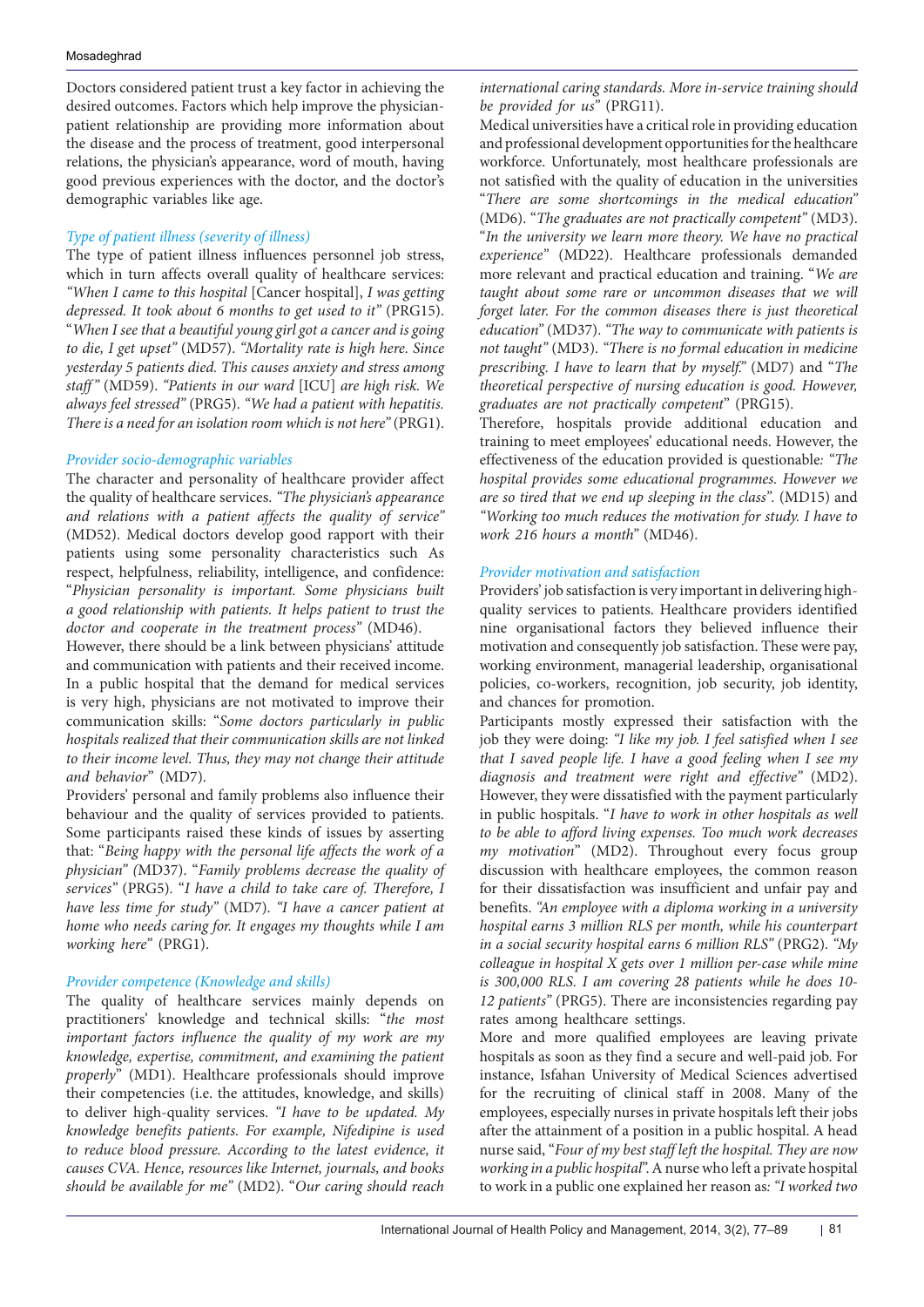Doctors considered patient trust a key factor in achieving the desired outcomes. Factors which help improve the physicianpatient relationship are providing more information about the disease and the process of treatment, good interpersonal relations, the physician's appearance, word of mouth, having good previous experiences with the doctor, and the doctor's demographic variables like age.

# *Type of patient illness (severity of illness)*

The type of patient illness influences personnel job stress, which in turn affects overall quality of healthcare services: *"When I came to this hospital* [Cancer hospital], *I was getting depressed. It took about 6 months to get used to it"* (PRG15). "*When I see that a beautiful young girl got a cancer and is going to die, I get upset"* (MD57). *"Mortality rate is high here. Since yesterday 5 patients died. This causes anxiety and stress among staff"* (MD59). *"Patients in our ward* [ICU] *are high risk. We always feel stressed"* (PRG5). *"We had a patient with hepatitis. There is a need for an isolation room which is not here*" (PRG1).

# *Provider socio-demographic variables*

The character and personality of healthcare provider affect the quality of healthcare services. *"The physician's appearance and relations with a patient affects the quality of service"* (MD52). Medical doctors develop good rapport with their patients using some personality characteristics such As respect, helpfulness, reliability, intelligence, and confidence: "*Physician personality is important. Some physicians built a good relationship with patients. It helps patient to trust the doctor and cooperate in the treatment process"* (MD46).

However, there should be a link between physicians' attitude and communication with patients and their received income. In a public hospital that the demand for medical services is very high, physicians are not motivated to improve their communication skills: "*Some doctors particularly in public hospitals realized that their communication skills are not linked to their income level. Thus, they may not change their attitude and behavior*" (MD7).

Providers' personal and family problems also influence their behaviour and the quality of services provided to patients. Some participants raised these kinds of issues by asserting that: "*Being happy with the personal life affects the work of a physician" (*MD37). "*Family problems decrease the quality of services"* (PRG5)*.* "*I have a child to take care of. Therefore, I have less time for study"* (MD7). *"I have a cancer patient at home who needs caring for. It engages my thoughts while I am working here"* (PRG1).

# *Provider competence (Knowledge and skills)*

The quality of healthcare services mainly depends on practitioners' knowledge and technical skills: "*the most important factors influence the quality of my work are my knowledge, expertise, commitment, and examining the patient properly*" (MD1). Healthcare professionals should improve their competencies (i.e. the attitudes, knowledge, and skills) to deliver high-quality services. *"I have to be updated. My knowledge benefits patients. For example, Nifedipine is used to reduce blood pressure. According to the latest evidence, it causes CVA. Hence, resources like Internet, journals, and books should be available for me"* (MD2). "*Our caring should reach*  *international caring standards. More in-service training should be provided for us"* (PRG11).

Medical universities have a critical role in providing education and professional development opportunities for the healthcare workforce. Unfortunately, most healthcare professionals are not satisfied with the quality of education in the universities "*There are some shortcomings in the medical education"*  (MD6). "*The graduates are not practically competent"* (MD3). "*In the university we learn more theory. We have no practical experience"* (MD22). Healthcare professionals demanded more relevant and practical education and training. "*We are taught about some rare or uncommon diseases that we will forget later. For the common diseases there is just theoretical education"* (MD37). *"The way to communicate with patients is not taught"* (MD3). *"There is no formal education in medicine prescribing. I have to learn that by myself."* (MD7) and "*The theoretical perspective of nursing education is good. However, graduates are not practically competent*" (PRG15).

Therefore, hospitals provide additional education and training to meet employees' educational needs. However, the effectiveness of the education provided is questionable*: "The hospital provides some educational programmes. However we are so tired that we end up sleeping in the class".* (MD15) and *"Working too much reduces the motivation for study. I have to work 216 hours a month"* (MD46).

# *Provider motivation and satisfaction*

Providers' job satisfaction is very important in delivering highquality services to patients. Healthcare providers identified nine organisational factors they believed influence their motivation and consequently job satisfaction. These were pay, working environment, managerial leadership, organisational policies, co-workers, recognition, job security, job identity, and chances for promotion.

Participants mostly expressed their satisfaction with the job they were doing: *"I like my job. I feel satisfied when I see that I saved people life. I have a good feeling when I see my diagnosis and treatment were right and effective"* (MD2). However, they were dissatisfied with the payment particularly in public hospitals. "*I have to work in other hospitals as well to be able to afford living expenses. Too much work decreases my motivation*" (MD2). Throughout every focus group discussion with healthcare employees, the common reason for their dissatisfaction was insufficient and unfair pay and benefits. *"An employee with a diploma working in a university hospital earns 3 million RLS per month, while his counterpart in a social security hospital earns 6 million RLS"* (PRG2). *"My colleague in hospital X gets over 1 million per-case while mine is 300,000 RLS. I am covering 28 patients while he does 10- 12 patients"* (PRG5). There are inconsistencies regarding pay rates among healthcare settings.

More and more qualified employees are leaving private hospitals as soon as they find a secure and well-paid job. For instance, Isfahan University of Medical Sciences advertised for the recruiting of clinical staff in 2008. Many of the employees, especially nurses in private hospitals left their jobs after the attainment of a position in a public hospital. A head nurse said, "*Four of my best staff left the hospital. They are now working in a public hospital*". A nurse who left a private hospital to work in a public one explained her reason as*: "I worked two*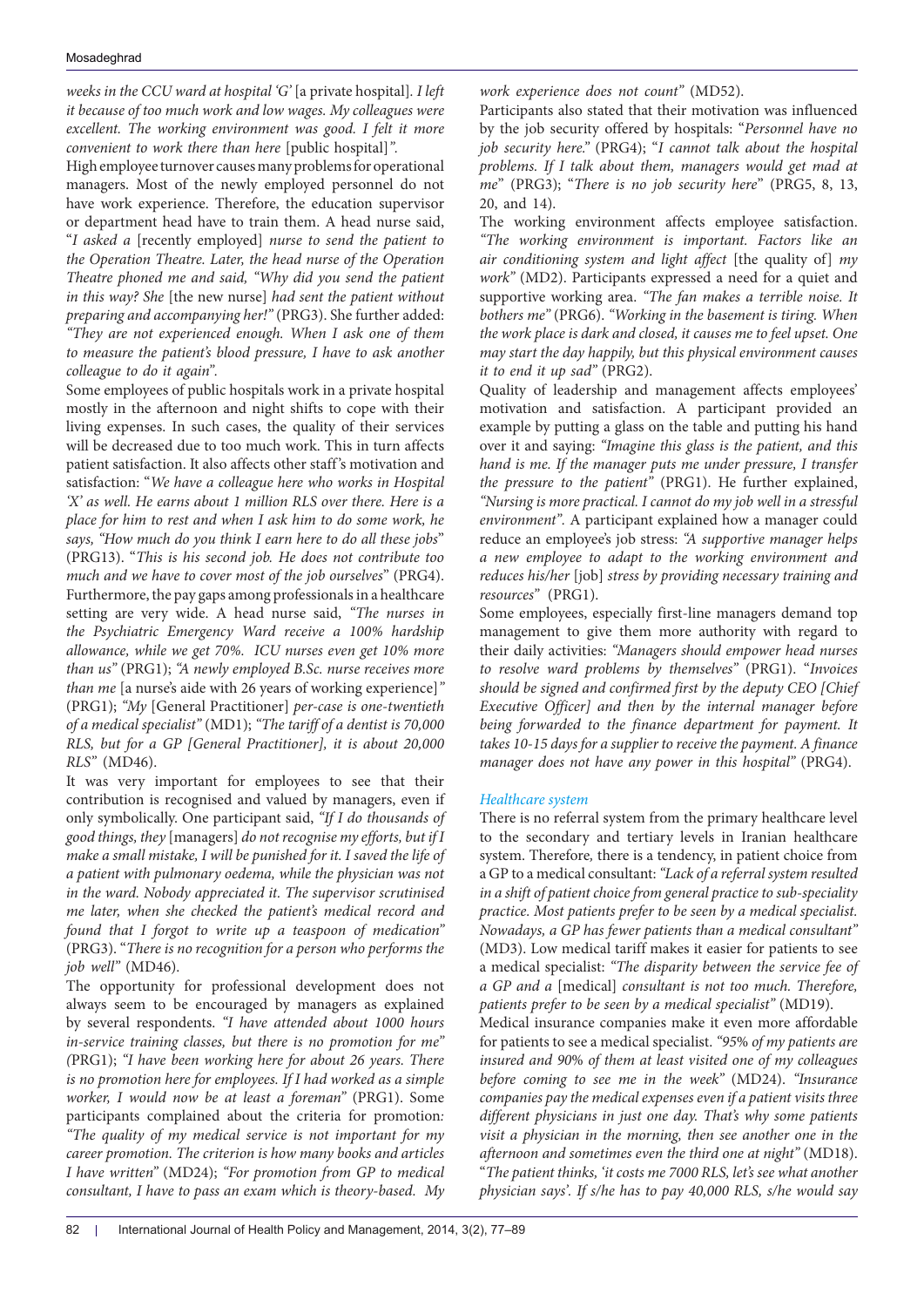# Mosadeghrad

*weeks in the CCU ward at hospital 'G'* [a private hospital]*. I left it because of too much work and low wages. My colleagues were excellent. The working environment was good. I felt it more convenient to work there than here* [public hospital]*".*

High employee turnover causes many problems for operational managers. Most of the newly employed personnel do not have work experience. Therefore, the education supervisor or department head have to train them. A head nurse said, "*I asked a* [recently employed] *nurse to send the patient to the Operation Theatre. Later, the head nurse of the Operation Theatre phoned me and said, "Why did you send the patient in this way? She* [the new nurse] *had sent the patient without preparing and accompanying her!"* (PRG3). She further added: *"They are not experienced enough. When I ask one of them to measure the patient's blood pressure, I have to ask another colleague to do it again".*

Some employees of public hospitals work in a private hospital mostly in the afternoon and night shifts to cope with their living expenses. In such cases, the quality of their services will be decreased due to too much work. This in turn affects patient satisfaction. It also affects other staff 's motivation and satisfaction: "*We have a colleague here who works in Hospital 'X' as well. He earns about 1 million RLS over there. Here is a place for him to rest and when I ask him to do some work, he says, "How much do you think I earn here to do all these jobs*" (PRG13). "*This is his second job. He does not contribute too much and we have to cover most of the job ourselves*" (PRG4). Furthermore, the pay gaps among professionals in a healthcare setting are very wide. A head nurse said, *"The nurses in the Psychiatric Emergency Ward receive a 100% hardship allowance, while we get 70%. ICU nurses even get 10% more than us"* (PRG1); *"A newly employed B.Sc. nurse receives more than me* [a nurse's aide with 26 years of working experience]*"*  (PRG1); *"My* [General Practitioner] *per-case is one-twentieth of a medical specialist"* (MD1); *"The tariff of a dentist is 70,000 RLS, but for a GP [General Practitioner], it is about 20,000 RLS"* (MD46).

It was very important for employees to see that their contribution is recognised and valued by managers, even if only symbolically. One participant said, *"If I do thousands of good things, they* [managers] *do not recognise my efforts, but if I make a small mistake, I will be punished for it. I saved the life of a patient with pulmonary oedema, while the physician was not in the ward. Nobody appreciated it. The supervisor scrutinised me later, when she checked the patient's medical record and found that I forgot to write up a teaspoon of medication"*  (PRG3). "*There is no recognition for a person who performs the job well"* (MD46).

The opportunity for professional development does not always seem to be encouraged by managers as explained by several respondents. *"I have attended about 1000 hours in-service training classes, but there is no promotion for me" (*PRG1); *"I have been working here for about 26 years. There is no promotion here for employees. If I had worked as a simple worker, I would now be at least a foreman"* (PRG1). Some participants complained about the criteria for promotion*: "The quality of my medical service is not important for my career promotion. The criterion is how many books and articles I have written"* (MD24); *"For promotion from GP to medical consultant, I have to pass an exam which is theory-based. My*  *work experience does not count"* (MD52).

Participants also stated that their motivation was influenced by the job security offered by hospitals: "*Personnel have no job security here."* (PRG4); "*I cannot talk about the hospital problems. If I talk about them, managers would get mad at me*" (PRG3); "*There is no job security here*" (PRG5, 8, 13, 20, and 14).

The working environment affects employee satisfaction. *"The working environment is important. Factors like an air conditioning system and light affect* [the quality of] *my work"* (MD2). Participants expressed a need for a quiet and supportive working area. *"The fan makes a terrible noise. It bothers me"* (PRG6). *"Working in the basement is tiring. When the work place is dark and closed, it causes me to feel upset. One may start the day happily, but this physical environment causes it to end it up sad"* (PRG2).

Quality of leadership and management affects employees' motivation and satisfaction. A participant provided an example by putting a glass on the table and putting his hand over it and saying: *"Imagine this glass is the patient, and this hand is me. If the manager puts me under pressure, I transfer the pressure to the patient"* (PRG1). He further explained, *"Nursing is more practical. I cannot do my job well in a stressful environment".* A participant explained how a manager could reduce an employee's job stress: *"A supportive manager helps a new employee to adapt to the working environment and reduces his/her* [job] *stress by providing necessary training and resources"* (PRG1).

Some employees, especially first-line managers demand top management to give them more authority with regard to their daily activities: *"Managers should empower head nurses to resolve ward problems by themselves"* (PRG1). "*Invoices should be signed and confirmed first by the deputy CEO [Chief Executive Officer] and then by the internal manager before being forwarded to the finance department for payment. It takes 10-15 days for a supplier to receive the payment. A finance manager does not have any power in this hospital"* (PRG4).

# *Healthcare system*

There is no referral system from the primary healthcare level to the secondary and tertiary levels in Iranian healthcare system. Therefore*,* there is a tendency, in patient choice from a GP to a medical consultant: *"Lack of a referral system resulted in a shift of patient choice from general practice to sub-speciality practice. Most patients prefer to be seen by a medical specialist. Nowadays, a GP has fewer patients than a medical consultant"*  (MD3). Low medical tariff makes it easier for patients to see a medical specialist: *"The disparity between the service fee of a GP and a* [medical] *consultant is not too much. Therefore, patients prefer to be seen by a medical specialist"* (MD19).

Medical insurance companies make it even more affordable for patients to see a medical specialist. *"95*% *of my patients are insured and 90*% *of them at least visited one of my colleagues before coming to see me in the week"* (MD24). *"Insurance companies pay the medical expenses even if a patient visits three different physicians in just one day. That's why some patients visit a physician in the morning, then see another one in the afternoon and sometimes even the third one at night"* (MD18). "*The patient thinks, 'it costs me 7000 RLS, let's see what another physician says'. If s/he has to pay 40,000 RLS, s/he would say*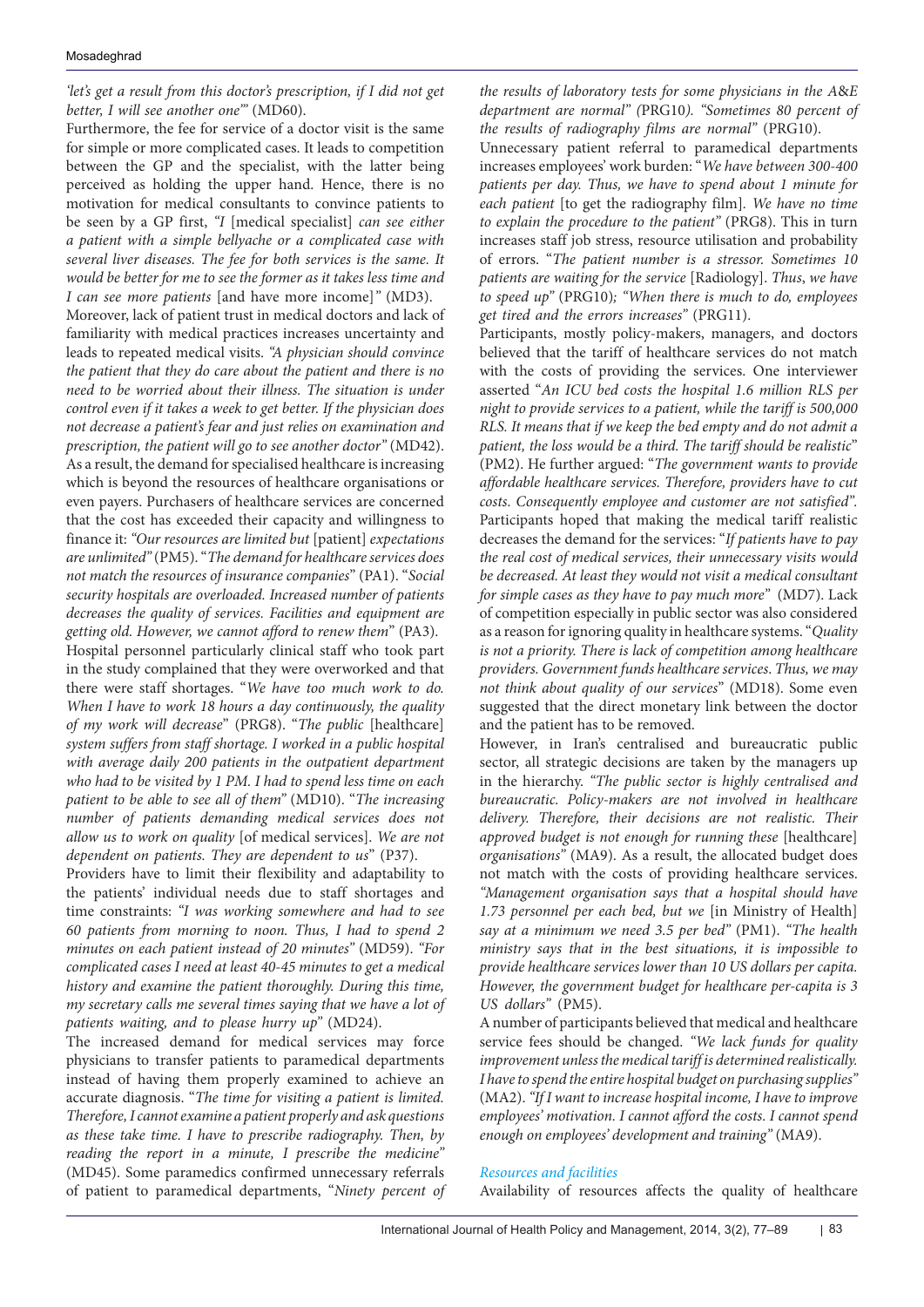# *'let's get a result from this doctor's prescription, if I did not get better, I will see another one'"* (MD60).

Furthermore, the fee for service of a doctor visit is the same for simple or more complicated cases. It leads to competition between the GP and the specialist, with the latter being perceived as holding the upper hand. Hence, there is no motivation for medical consultants to convince patients to be seen by a GP first, *"I* [medical specialist] *can see either a patient with a simple bellyache or a complicated case with several liver diseases. The fee for both services is the same. It would be better for me to see the former as it takes less time and I can see more patients* [and have more income]*"* (MD3). Moreover, lack of patient trust in medical doctors and lack of familiarity with medical practices increases uncertainty and leads to repeated medical visits. *"A physician should convince the patient that they do care about the patient and there is no need to be worried about their illness. The situation is under* 

*control even if it takes a week to get better. If the physician does not decrease a patient's fear and just relies on examination and prescription, the patient will go to see another doctor"* (MD42). As a result, the demand for specialised healthcare is increasing which is beyond the resources of healthcare organisations or even payers. Purchasers of healthcare services are concerned that the cost has exceeded their capacity and willingness to finance it: *"Our resources are limited but* [patient] *expectations are unlimited"* (PM5). "*The demand for healthcare services does not match the resources of insurance companies*" (PA1). "*Social security hospitals are overloaded. Increased number of patients decreases the quality of services. Facilities and equipment are getting old. However, we cannot afford to renew them*" (PA3).

Hospital personnel particularly clinical staff who took part in the study complained that they were overworked and that there were staff shortages. "*We have too much work to do. When I have to work 18 hours a day continuously, the quality of my work will decrease*" (PRG8). "*The public* [healthcare] *system suffers from staff shortage. I worked in a public hospital with average daily 200 patients in the outpatient department who had to be visited by 1 PM. I had to spend less time on each patient to be able to see all of them"* (MD10). "*The increasing number of patients demanding medical services does not allow us to work on quality* [of medical services]. *We are not dependent on patients. They are dependent to us*" (P37).

Providers have to limit their flexibility and adaptability to the patients' individual needs due to staff shortages and time constraints: *"I was working somewhere and had to see 60 patients from morning to noon. Thus, I had to spend 2 minutes on each patient instead of 20 minutes"* (MD59). *"For complicated cases I need at least 40-45 minutes to get a medical history and examine the patient thoroughly. During this time, my secretary calls me several times saying that we have a lot of patients waiting, and to please hurry up"* (MD24).

The increased demand for medical services may force physicians to transfer patients to paramedical departments instead of having them properly examined to achieve an accurate diagnosis. "*The time for visiting a patient is limited. Therefore, I cannot examine a patient properly and ask questions as these take time. I have to prescribe radiography. Then, by reading the report in a minute, I prescribe the medicine"*  (MD45). Some paramedics confirmed unnecessary referrals of patient to paramedical departments, "*Ninety percent of*  *the results of laboratory tests for some physicians in the A*&*E department are normal" (*PRG10*). "Sometimes 80 percent of the results of radiography films are normal"* (PRG10).

Unnecessary patient referral to paramedical departments increases employees' work burden: "*We have between 300-400 patients per day. Thus, we have to spend about 1 minute for each patient* [to get the radiography film]*. We have no time to explain the procedure to the patient"* (PRG8). This in turn increases staff job stress, resource utilisation and probability of errors. "*The patient number is a stressor. Sometimes 10 patients are waiting for the service* [Radiology]. *Thus*, *we have to speed up"* (PRG10)*; "When there is much to do, employees get tired and the errors increases"* (PRG11).

Participants, mostly policy-makers, managers, and doctors believed that the tariff of healthcare services do not match with the costs of providing the services. One interviewer asserted "*An ICU bed costs the hospital 1.6 million RLS per night to provide services to a patient, while the tariff is 500,000 RLS. It means that if we keep the bed empty and do not admit a patient, the loss would be a third. The tariff should be realistic*" (PM2). He further argued: "*The government wants to provide affordable healthcare services. Therefore, providers have to cut costs. Consequently employee and customer are not satisfied".* Participants hoped that making the medical tariff realistic decreases the demand for the services: "*If patients have to pay the real cost of medical services, their unnecessary visits would be decreased. At least they would not visit a medical consultant for simple cases as they have to pay much more"* (MD7). Lack of competition especially in public sector was also considered as a reason for ignoring quality in healthcare systems. "*Quality is not a priority. There is lack of competition among healthcare providers. Government funds healthcare services*. *Thus, we may not think about quality of our services*" (MD18). Some even suggested that the direct monetary link between the doctor and the patient has to be removed.

However, in Iran's centralised and bureaucratic public sector, all strategic decisions are taken by the managers up in the hierarchy. *"The public sector is highly centralised and bureaucratic. Policy-makers are not involved in healthcare delivery. Therefore, their decisions are not realistic. Their approved budget is not enough for running these* [healthcare] *organisations"* (MA9). As a result, the allocated budget does not match with the costs of providing healthcare services. *"Management organisation says that a hospital should have 1.73 personnel per each bed, but we* [in Ministry of Health] *say at a minimum we need 3.5 per bed"* (PM1). *"The health ministry says that in the best situations, it is impossible to provide healthcare services lower than 10 US dollars per capita. However, the government budget for healthcare per-capita is 3 US dollars"* (PM5).

A number of participants believed that medical and healthcare service fees should be changed. *"We lack funds for quality improvement unless the medical tariff is determined realistically. I have to spend the entire hospital budget on purchasing supplies"*  (MA2). *"If I want to increase hospital income, I have to improve employees' motivation. I cannot afford the costs. I cannot spend enough on employees' development and training"* (MA9).

# *Resources and facilities*

Availability of resources affects the quality of healthcare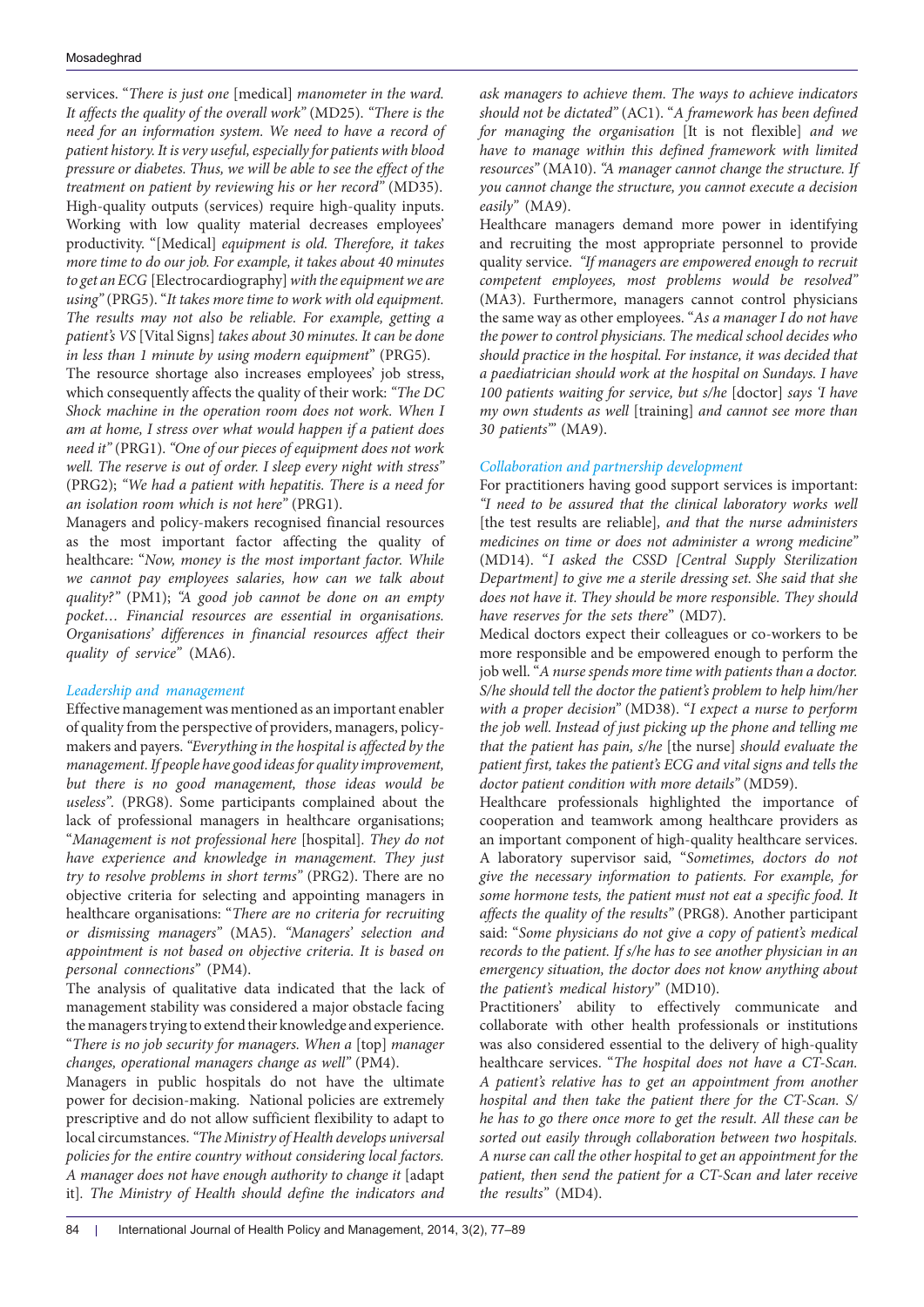services. "*There is just one* [medical] *manometer in the ward. It affects the quality of the overall work"* (MD25). *"There is the need for an information system. We need to have a record of patient history. It is very useful, especially for patients with blood pressure or diabetes. Thus, we will be able to see the effect of the treatment on patient by reviewing his or her record"* (MD35). High-quality outputs (services) require high-quality inputs. Working with low quality material decreases employees' productivity. "[Medical] *equipment is old. Therefore, it takes more time to do our job. For example, it takes about 40 minutes to get an ECG* [Electrocardiography] *with the equipment we are using"* (PRG5). "*It takes more time to work with old equipment. The results may not also be reliable. For example, getting a patient's VS* [Vital Signs] *takes about 30 minutes. It can be done in less than 1 minute by using modern equipment*" (PRG5).

The resource shortage also increases employees' job stress, which consequently affects the quality of their work: *"The DC Shock machine in the operation room does not work. When I am at home, I stress over what would happen if a patient does need it"* (PRG1). *"One of our pieces of equipment does not work well. The reserve is out of order. I sleep every night with stress"*  (PRG2); *"We had a patient with hepatitis. There is a need for an isolation room which is not here"* (PRG1).

Managers and policy-makers recognised financial resources as the most important factor affecting the quality of healthcare: "*Now, money is the most important factor. While we cannot pay employees salaries, how can we talk about quality?"* (PM1); *"A good job cannot be done on an empty pocket… Financial resources are essential in organisations. Organisations' differences in financial resources affect their quality of service"* (MA6).

# *Leadership and management*

Effective management was mentioned as an important enabler of quality from the perspective of providers, managers, policymakers and payers. *"Everything in the hospital is affected by the management. If people have good ideas for quality improvement, but there is no good management, those ideas would be useless".* (PRG8). Some participants complained about the lack of professional managers in healthcare organisations; "*Management is not professional here* [hospital]*. They do not have experience and knowledge in management. They just try to resolve problems in short terms"* (PRG2). There are no objective criteria for selecting and appointing managers in healthcare organisations: "*There are no criteria for recruiting or dismissing managers"* (MA5). *"Managers' selection and appointment is not based on objective criteria. It is based on personal connections"* (PM4).

The analysis of qualitative data indicated that the lack of management stability was considered a major obstacle facing the managers trying to extend their knowledge and experience. "*There is no job security for managers. When a* [top] *manager changes, operational managers change as well"* (PM4).

Managers in public hospitals do not have the ultimate power for decision-making. National policies are extremely prescriptive and do not allow sufficient flexibility to adapt to local circumstances. *"The Ministry of Health develops universal policies for the entire country without considering local factors. A manager does not have enough authority to change it* [adapt it]*. The Ministry of Health should define the indicators and*  *ask managers to achieve them. The ways to achieve indicators should not be dictated"* (AC1). "*A framework has been defined for managing the organisation* [It is not flexible] *and we have to manage within this defined framework with limited resources"* (MA10). *"A manager cannot change the structure. If you cannot change the structure, you cannot execute a decision easily"* (MA9).

Healthcare managers demand more power in identifying and recruiting the most appropriate personnel to provide quality service. *"If managers are empowered enough to recruit competent employees, most problems would be resolved"* (MA3). Furthermore, managers cannot control physicians the same way as other employees. "*As a manager I do not have the power to control physicians. The medical school decides who should practice in the hospital. For instance, it was decided that a paediatrician should work at the hospital on Sundays. I have 100 patients waiting for service, but s/he* [doctor] *says 'I have my own students as well* [training] *and cannot see more than 30 patients'"* (MA9).

# *Collaboration and partnership development*

For practitioners having good support services is important: *"I need to be assured that the clinical laboratory works well*  [the test results are reliable]*, and that the nurse administers medicines on time or does not administer a wrong medicine"*  (MD14). "*I asked the CSSD [Central Supply Sterilization Department] to give me a sterile dressing set. She said that she does not have it. They should be more responsible. They should have reserves for the sets there*" (MD7).

Medical doctors expect their colleagues or co-workers to be more responsible and be empowered enough to perform the job well. "*A nurse spends more time with patients than a doctor. S/he should tell the doctor the patient's problem to help him/her with a proper decision"* (MD38). "*I expect a nurse to perform the job well. Instead of just picking up the phone and telling me that the patient has pain, s/he* [the nurse] *should evaluate the patient first, takes the patient's ECG and vital signs and tells the doctor patient condition with more details"* (MD59).

Healthcare professionals highlighted the importance of cooperation and teamwork among healthcare providers as an important component of high-quality healthcare services. A laboratory supervisor said*,* "*Sometimes, doctors do not give the necessary information to patients. For example, for some hormone tests, the patient must not eat a specific food. It affects the quality of the results"* (PRG8). Another participant said: "*Some physicians do not give a copy of patient's medical records to the patient. If s/he has to see another physician in an emergency situation, the doctor does not know anything about the patient's medical history"* (MD10).

Practitioners' ability to effectively communicate and collaborate with other health professionals or institutions was also considered essential to the delivery of high-quality healthcare services. "*The hospital does not have a CT-Scan. A patient's relative has to get an appointment from another hospital and then take the patient there for the CT-Scan. S/ he has to go there once more to get the result. All these can be sorted out easily through collaboration between two hospitals. A nurse can call the other hospital to get an appointment for the patient, then send the patient for a CT-Scan and later receive the results"* (MD4).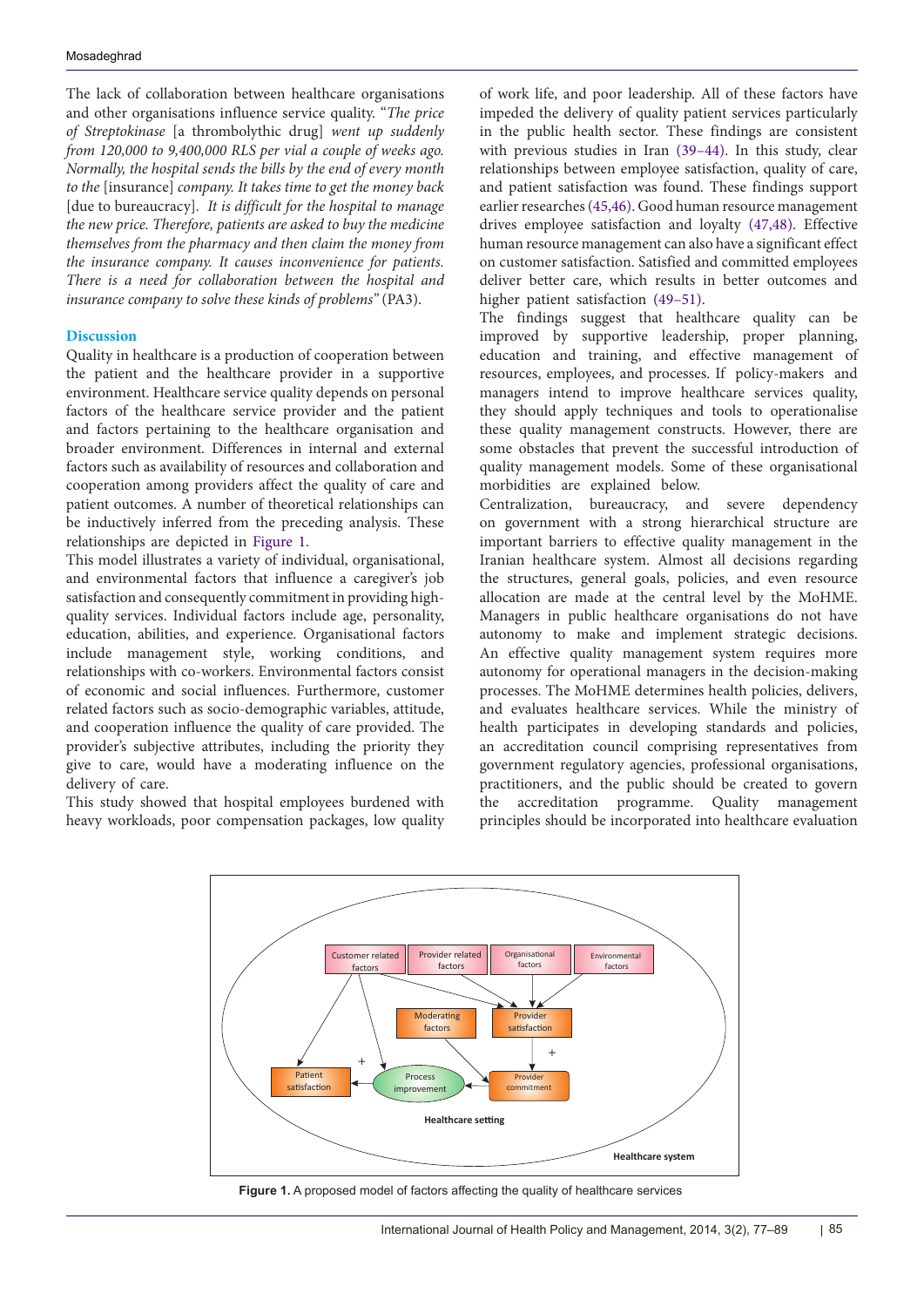The lack of collaboration between healthcare organisations and other organisations influence service quality. "*The price of Streptokinase* [a thrombolythic drug] *went up suddenly from 120,000 to 9,400,000 RLS per vial a couple of weeks ago. Normally, the hospital sends the bills by the end of every month to the* [insurance] *company. It takes time to get the money back*  [due to bureaucracy]*. It is difficult for the hospital to manage the new price. Therefore, patients are asked to buy the medicine themselves from the pharmacy and then claim the money from the insurance company. It causes inconvenience for patients. There is a need for collaboration between the hospital and insurance company to solve these kinds of problems"* (PA3).

# **Discussion**

Quality in healthcare is a production of cooperation between the patient and the healthcare provider in a supportive environment. Healthcare service quality depends on personal factors of the healthcare service provider and the patient and factors pertaining to the healthcare organisation and broader environment. Differences in internal and external factors such as availability of resources and collaboration and cooperation among providers affect the quality of care and patient outcomes. A number of theoretical relationships can be inductively inferred from the preceding analysis. These relationships are depicted in [Figure 1](#page-8-0).

This model illustrates a variety of individual, organisational, and environmental factors that influence a caregiver's job satisfaction and consequently commitment in providing highquality services. Individual factors include age, personality, education, abilities, and experience. Organisational factors include management style, working conditions, and relationships with co-workers. Environmental factors consist of economic and social influences. Furthermore, customer related factors such as socio-demographic variables, attitude, and cooperation influence the quality of care provided. The provider's subjective attributes, including the priority they give to care, would have a moderating influence on the delivery of care.

This study showed that hospital employees burdened with heavy workloads, poor compensation packages, low quality of work life, and poor leadership. All of these factors have impeded the delivery of quality patient services particularly in the public health sector. These findings are consistent with previous studies in Iran [\(39–](#page-11-31)[44\)](#page-11-32). In this study, clear relationships between employee satisfaction, quality of care, and patient satisfaction was found. These findings support earlier researches [\(45,](#page-11-33)[46\)](#page-11-34). Good human resource management drives employee satisfaction and loyalty ([47,](#page-11-35)[48](#page-11-36)). Effective human resource management can also have a significant effect on customer satisfaction. Satisfied and committed employees deliver better care, which results in better outcomes and higher patient satisfaction [\(49](#page-11-37)-51).

The findings suggest that healthcare quality can be improved by supportive leadership, proper planning, education and training, and effective management of resources, employees, and processes. If policy-makers and managers intend to improve healthcare services quality, they should apply techniques and tools to operationalise these quality management constructs. However, there are some obstacles that prevent the successful introduction of quality management models. Some of these organisational morbidities are explained below.

Centralization, bureaucracy, and severe dependency on government with a strong hierarchical structure are important barriers to effective quality management in the Iranian healthcare system. Almost all decisions regarding the structures, general goals, policies, and even resource allocation are made at the central level by the MoHME. Managers in public healthcare organisations do not have autonomy to make and implement strategic decisions. An effective quality management system requires more autonomy for operational managers in the decision-making processes. The MoHME determines health policies, delivers, and evaluates healthcare services. While the ministry of health participates in developing standards and policies, an accreditation council comprising representatives from government regulatory agencies, professional organisations, practitioners, and the public should be created to govern the accreditation programme. Quality management principles should be incorporated into healthcare evaluation

<span id="page-8-0"></span>

**Figure 1.** A proposed model of factors affecting the quality of healthcare services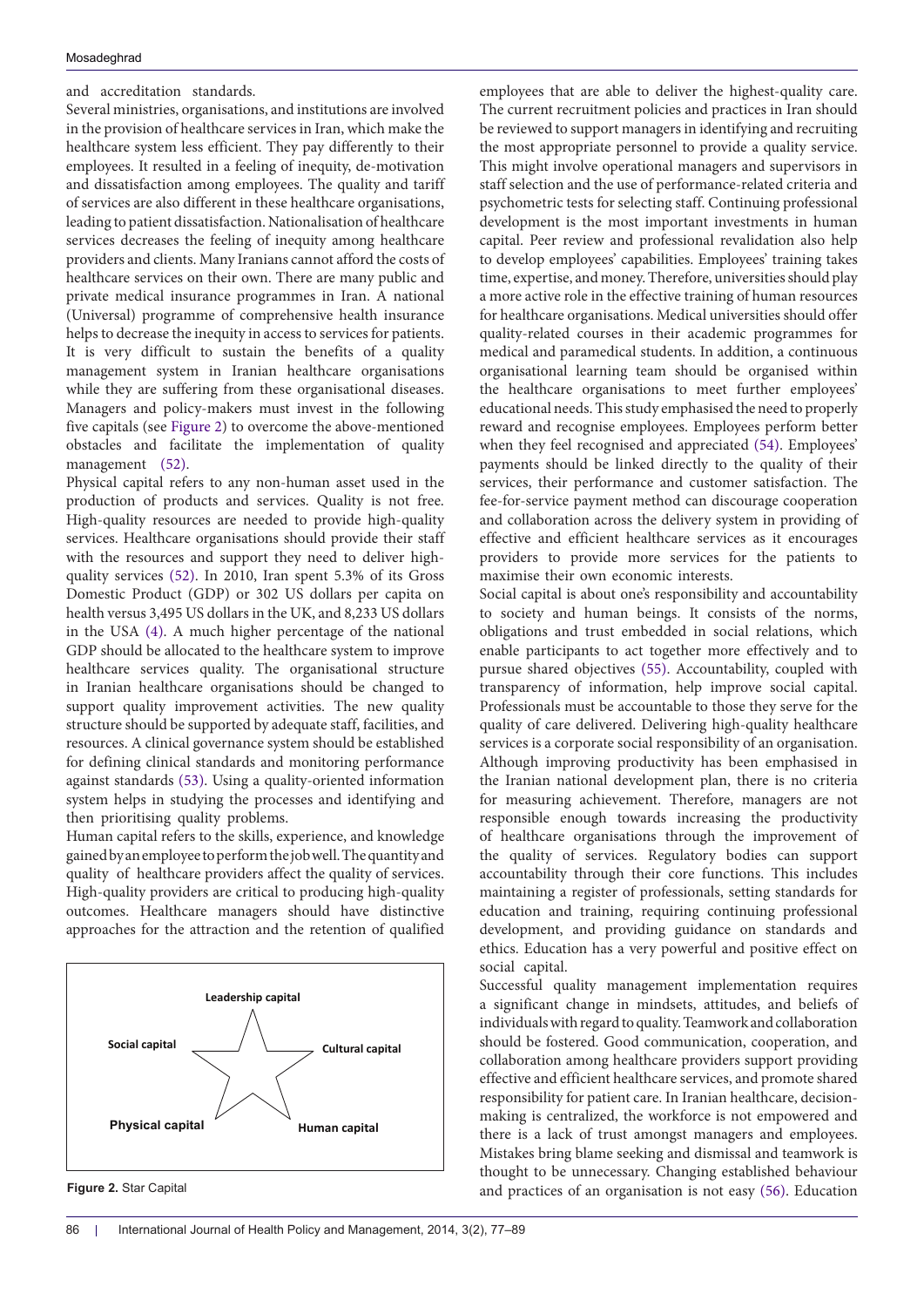and accreditation standards.

Several ministries, organisations, and institutions are involved in the provision of healthcare services in Iran, which make the healthcare system less efficient. They pay differently to their employees. It resulted in a feeling of inequity, de-motivation and dissatisfaction among employees. The quality and tariff of services are also different in these healthcare organisations, leading to patient dissatisfaction. Nationalisation of healthcare services decreases the feeling of inequity among healthcare providers and clients. Many Iranians cannot afford the costs of healthcare services on their own. There are many public and private medical insurance programmes in Iran. A national (Universal) programme of comprehensive health insurance helps to decrease the inequity in access to services for patients. It is very difficult to sustain the benefits of a quality management system in Iranian healthcare organisations while they are suffering from these organisational diseases. Managers and policy-makers must invest in the following five capitals (see [Figure 2](#page-9-0)) to overcome the above-mentioned obstacles and facilitate the implementation of quality management ([52](#page-12-1)).

Physical capital refers to any non-human asset used in the production of products and services. Quality is not free. High-quality resources are needed to provide high-quality services. Healthcare organisations should provide their staff with the resources and support they need to deliver highquality services ([52](#page-12-1)). In 2010, Iran spent 5.3% of its Gross Domestic Product (GDP) or 302 US dollars per capita on health versus 3,495 US dollars in the UK, and 8,233 US dollars in the USA [\(4\)](#page-10-3). A much higher percentage of the national GDP should be allocated to the healthcare system to improve healthcare services quality. The organisational structure in Iranian healthcare organisations should be changed to support quality improvement activities. The new quality structure should be supported by adequate staff, facilities, and resources. A clinical governance system should be established for defining clinical standards and monitoring performance against standards ([53](#page-12-2)). Using a quality-oriented information system helps in studying the processes and identifying and then prioritising quality problems.

Human capital refers to the skills, experience, and knowledge gained by an employee to perform the job well. The quantity and quality of healthcare providers affect the quality of services. High-quality providers are critical to producing high-quality outcomes. Healthcare managers should have distinctive approaches for the attraction and the retention of qualified

<span id="page-9-0"></span>

**Figure 2.** Star Capital

employees that are able to deliver the highest-quality care. The current recruitment policies and practices in Iran should be reviewed to support managers in identifying and recruiting the most appropriate personnel to provide a quality service. This might involve operational managers and supervisors in staff selection and the use of performance-related criteria and psychometric tests for selecting staff. Continuing professional development is the most important investments in human capital. Peer review and professional revalidation also help to develop employees' capabilities. Employees' training takes time, expertise, and money. Therefore, universities should play a more active role in the effective training of human resources for healthcare organisations. Medical universities should offer quality-related courses in their academic programmes for medical and paramedical students. In addition, a continuous organisational learning team should be organised within the healthcare organisations to meet further employees' educational needs. This study emphasised the need to properly reward and recognise employees. Employees perform better when they feel recognised and appreciated [\(54\)](#page-12-3). Employees' payments should be linked directly to the quality of their services, their performance and customer satisfaction. The fee-for-service payment method can discourage cooperation and collaboration across the delivery system in providing of effective and efficient healthcare services as it encourages providers to provide more services for the patients to maximise their own economic interests.

Social capital is about one's responsibility and accountability to society and human beings. It consists of the norms, obligations and trust embedded in social relations, which enable participants to act together more effectively and to pursue shared objectives ([55](#page-12-4)). Accountability, coupled with transparency of information, help improve social capital. Professionals must be accountable to those they serve for the quality of care delivered. Delivering high-quality healthcare services is a corporate social responsibility of an organisation. Although improving productivity has been emphasised in the Iranian national development plan, there is no criteria for measuring achievement. Therefore, managers are not responsible enough towards increasing the productivity of healthcare organisations through the improvement of the quality of services. Regulatory bodies can support accountability through their core functions. This includes maintaining a register of professionals, setting standards for education and training, requiring continuing professional development, and providing guidance on standards and ethics. Education has a very powerful and positive effect on social capital.

Successful quality management implementation requires a significant change in mindsets, attitudes, and beliefs of individuals with regard to quality. Teamwork and collaboration should be fostered. Good communication, cooperation, and collaboration among healthcare providers support providing effective and efficient healthcare services, and promote shared responsibility for patient care. In Iranian healthcare, decisionmaking is centralized, the workforce is not empowered and there is a lack of trust amongst managers and employees. Mistakes bring blame seeking and dismissal and teamwork is thought to be unnecessary. Changing established behaviour and practices of an organisation is not easy [\(56\)](#page-12-5). Education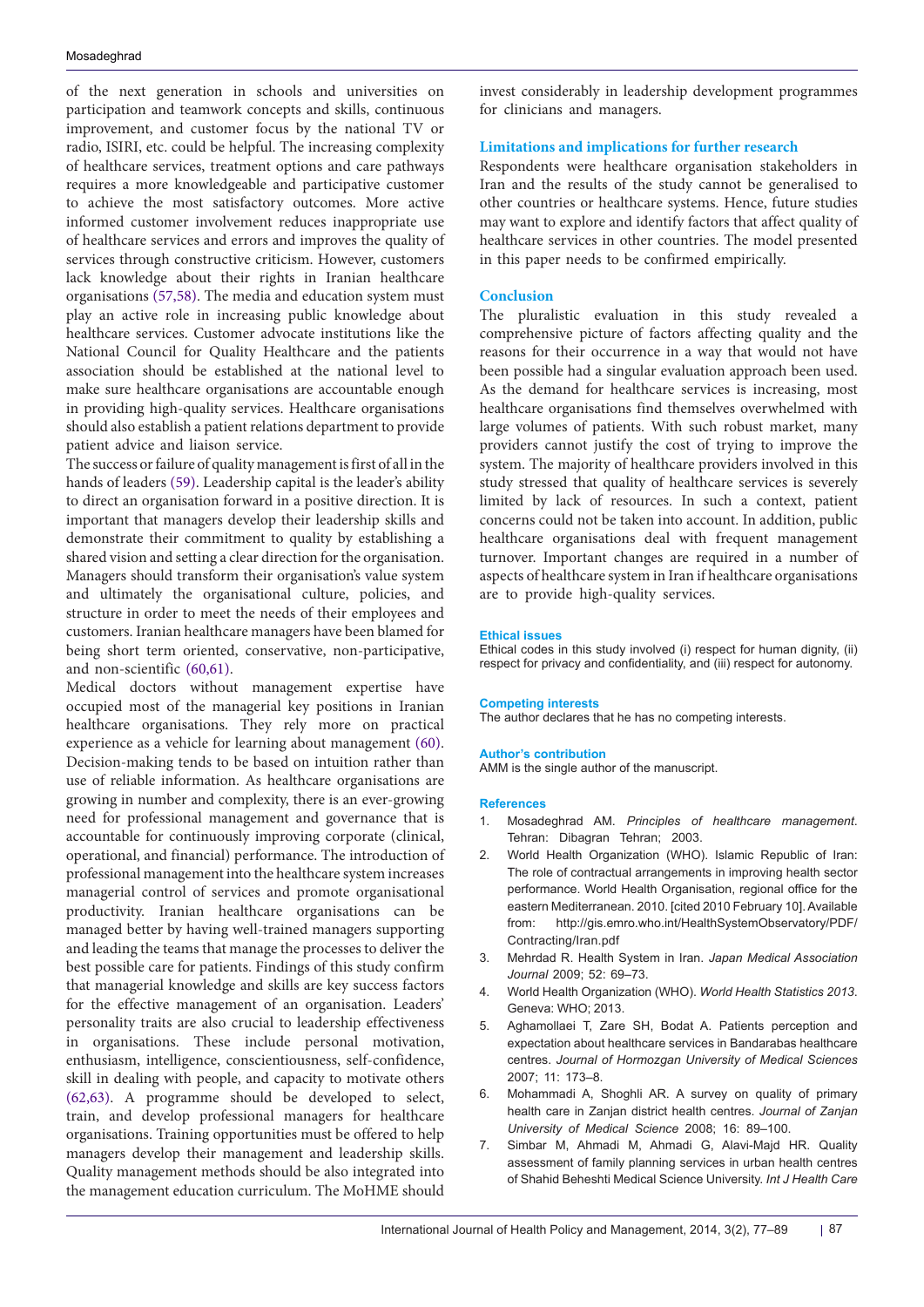of the next generation in schools and universities on participation and teamwork concepts and skills, continuous improvement, and customer focus by the national TV or radio, ISIRI, etc. could be helpful. The increasing complexity of healthcare services, treatment options and care pathways requires a more knowledgeable and participative customer to achieve the most satisfactory outcomes. More active informed customer involvement reduces inappropriate use of healthcare services and errors and improves the quality of services through constructive criticism. However, customers lack knowledge about their rights in Iranian healthcare organisations ([57,](#page-12-6)[58](#page-12-7)). The media and education system must play an active role in increasing public knowledge about healthcare services. Customer advocate institutions like the National Council for Quality Healthcare and the patients association should be established at the national level to make sure healthcare organisations are accountable enough in providing high-quality services. Healthcare organisations should also establish a patient relations department to provide patient advice and liaison service.

The success or failure of quality management is first of all in the hands of leaders [\(59\)](#page-12-8). Leadership capital is the leader's ability to direct an organisation forward in a positive direction. It is important that managers develop their leadership skills and demonstrate their commitment to quality by establishing a shared vision and setting a clear direction for the organisation. Managers should transform their organisation's value system and ultimately the organisational culture, policies, and structure in order to meet the needs of their employees and customers. Iranian healthcare managers have been blamed for being short term oriented, conservative, non-participative, and non-scientific [\(60,](#page-12-9)[61\)](#page-12-10).

Medical doctors without management expertise have occupied most of the managerial key positions in Iranian healthcare organisations. They rely more on practical experience as a vehicle for learning about management ([60\)](#page-12-9). Decision-making tends to be based on intuition rather than use of reliable information. As healthcare organisations are growing in number and complexity, there is an ever-growing need for professional management and governance that is accountable for continuously improving corporate (clinical, operational, and financial) performance. The introduction of professional management into the healthcare system increases managerial control of services and promote organisational productivity. Iranian healthcare organisations can be managed better by having well-trained managers supporting and leading the teams that manage the processes to deliver the best possible care for patients. Findings of this study confirm that managerial knowledge and skills are key success factors for the effective management of an organisation. Leaders' personality traits are also crucial to leadership effectiveness in organisations. These include personal motivation, enthusiasm, intelligence, conscientiousness, self-confidence, skill in dealing with people, and capacity to motivate others ([62,](#page-12-11)[63](#page-12-12)). A programme should be developed to select, train, and develop professional managers for healthcare organisations. Training opportunities must be offered to help managers develop their management and leadership skills. Quality management methods should be also integrated into the management education curriculum. The MoHME should

invest considerably in leadership development programmes for clinicians and managers.

# **Limitations and implications for further research**

Respondents were healthcare organisation stakeholders in Iran and the results of the study cannot be generalised to other countries or healthcare systems. Hence, future studies may want to explore and identify factors that affect quality of healthcare services in other countries. The model presented in this paper needs to be confirmed empirically.

# **Conclusion**

The pluralistic evaluation in this study revealed a comprehensive picture of factors affecting quality and the reasons for their occurrence in a way that would not have been possible had a singular evaluation approach been used. As the demand for healthcare services is increasing, most healthcare organisations find themselves overwhelmed with large volumes of patients. With such robust market, many providers cannot justify the cost of trying to improve the system. The majority of healthcare providers involved in this study stressed that quality of healthcare services is severely limited by lack of resources. In such a context, patient concerns could not be taken into account. In addition, public healthcare organisations deal with frequent management turnover. Important changes are required in a number of aspects of healthcare system in Iran if healthcare organisations are to provide high-quality services.

### **Ethical issues**

Ethical codes in this study involved (i) respect for human dignity, (ii) respect for privacy and confidentiality, and (iii) respect for autonomy.

### **Competing interests**

The author declares that he has no competing interests.

# **Author's contribution**

AMM is the single author of the manuscript.

### **References**

- <span id="page-10-0"></span>1. Mosadeghrad AM. *Principles of healthcare management*. Tehran: Dibagran Tehran; 2003.
- <span id="page-10-1"></span>2. World Health Organization (WHO). Islamic Republic of Iran: The role of contractual arrangements in improving health sector performance. World Health Organisation, regional office for the eastern Mediterranean. 2010. [cited 2010 February 10]. Available from: [http://gis.emro.who.int/HealthSystemObservatory/PDF/](http://gis.emro.who.int/HealthSystemObservatory/PDF/Contracting/Iran.pdf) [Contracting/Iran.pdf](http://gis.emro.who.int/HealthSystemObservatory/PDF/Contracting/Iran.pdf)
- <span id="page-10-2"></span>3. Mehrdad R. Health System in Iran. *Japan Medical Association Journal* 2009; 52: 69–73.
- <span id="page-10-3"></span>4. World Health Organization (WHO). *World Health Statistics 2013*. Geneva: WHO; 2013.
- <span id="page-10-4"></span>5. Aghamollaei T, Zare SH, Bodat A. Patients perception and expectation about healthcare services in Bandarabas healthcare centres. *Journal of Hormozgan University of Medical Sciences* 2007; 11: 173–8.
- 6. Mohammadi A, Shoghli AR. A survey on quality of primary health care in Zanjan district health centres. *Journal of Zanjan University of Medical Science* 2008; 16: 89–100.
- 7. Simbar M, Ahmadi M, Ahmadi G, Alavi-Majd HR. Quality assessment of family planning services in urban health centres of Shahid Beheshti Medical Science University. *Int J Health Care*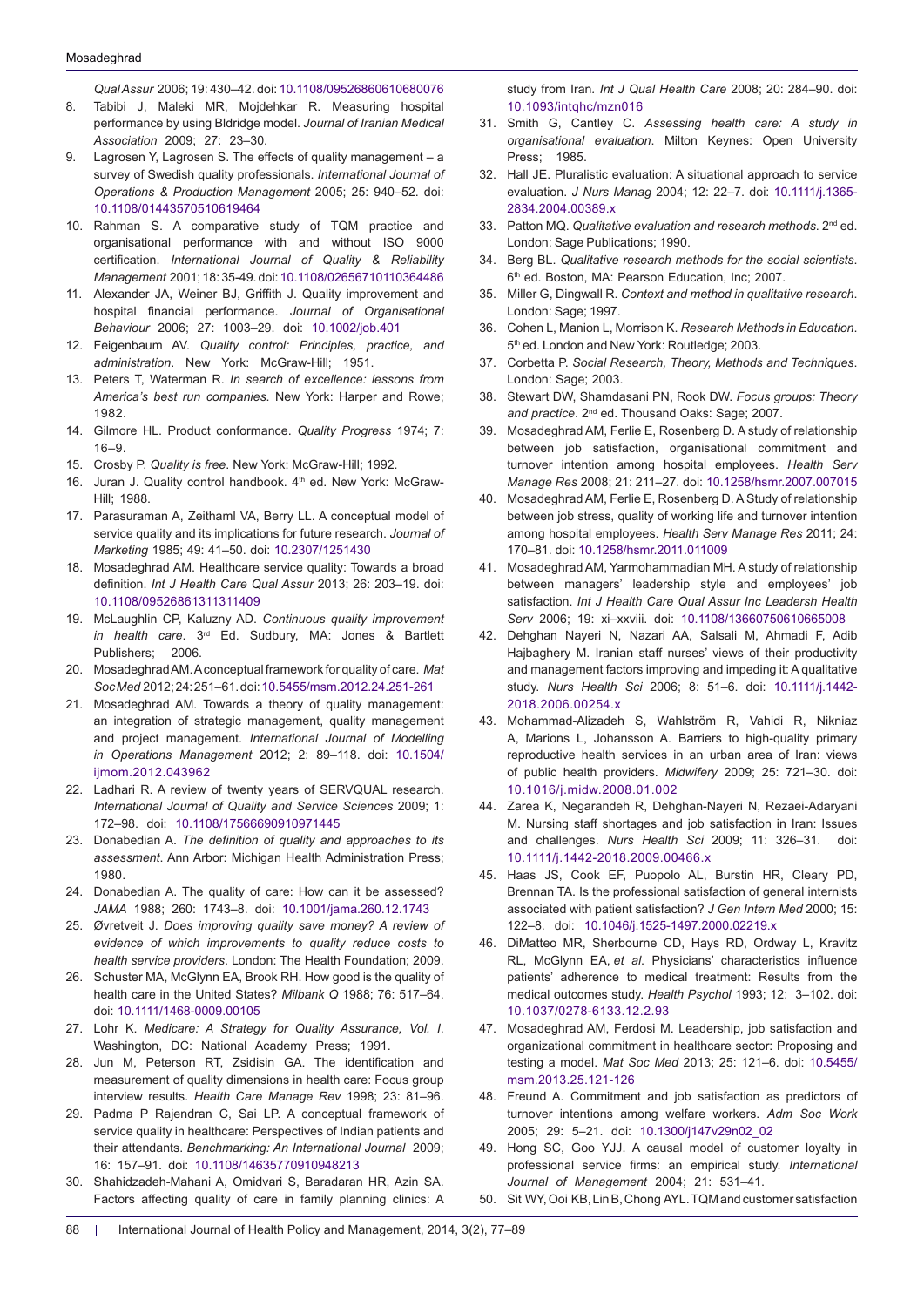<span id="page-11-0"></span>*Qual Assur* 2006; 19: 430–42. doi: [10.1108/09526860610680076](http://dx.doi.org/10.1108/09526860610680076)

- 8. Tabibi J, Maleki MR, Mojdehkar R. Measuring hospital performance by using Bldridge model. *Journal of Iranian Medical Association* 2009; 27: 23–30.
- <span id="page-11-1"></span>9. Lagrosen Y, Lagrosen S. The effects of quality management – a survey of Swedish quality professionals. *International Journal of Operations & Production Management* 2005; 25: 940–52. doi: [10.1108/01443570510619464](http://dx.doi.org/10.1108/01443570510619464)
- <span id="page-11-2"></span>10. Rahman S. A comparative study of TQM practice and organisational performance with and without ISO 9000 certification. *International Journal of Quality & Reliability Management* 2001; 18: 35-49. doi: [10.1108/02656710110364486](http://dx.doi.org/10.1108/02656710110364486)
- <span id="page-11-3"></span>11. Alexander JA, Weiner BJ, Griffith J. Quality improvement and hospital financial performance. *Journal of Organisational Behaviour* 2006; 27: 1003–29. doi: [10.1002/job.401](http://dx.doi.org/dx.doi.org/10.1002/job.401)
- <span id="page-11-4"></span>12. Feigenbaum AV. *Quality control: Principles, practice, and administration*. New York: McGraw-Hill; 1951.
- <span id="page-11-5"></span>13. Peters T, Waterman R. *In search of excellence: lessons from America's best run companies*. New York: Harper and Rowe; 1982.
- <span id="page-11-6"></span>14. Gilmore HL. Product conformance. *Quality Progress* 1974; 7: 16–9.
- <span id="page-11-7"></span>15. Crosby P. *Quality is free*. New York: McGraw-Hill; 1992.
- <span id="page-11-8"></span>16. Juran J. Quality control handbook. 4<sup>th</sup> ed. New York: McGraw-Hill; 1988.
- <span id="page-11-9"></span>17. Parasuraman A, Zeithaml VA, Berry LL. A conceptual model of service quality and its implications for future research. *Journal of Marketing* 1985; 49: 41–50. doi: [10.2307/1251430](http://dx.doi.org/dx.doi.org/10.2307/1251430)
- <span id="page-11-10"></span>18. Mosadeghrad AM. Healthcare service quality: Towards a broad definition. *Int J Health Care Qual Assur* 2013; 26: 203–19. doi: [10.1108/09526861311311409](http://dx.doi.org/10.1108/09526861311311409)
- <span id="page-11-11"></span>19. McLaughlin CP, Kaluzny AD. *Continuous quality improvement*  in health care. 3<sup>rd</sup> Ed. Sudbury, MA: Jones & Bartlett Publishers; 2006.
- <span id="page-11-12"></span>20. Mosadeghrad AM. A conceptual framework for quality of care. *Mat Soc Med* 2012; 24: 251–61. doi: [10.5455/msm.2012.24.251-261](http://dx.doi.org/10.5455/msm.2012.24.251-261)
- <span id="page-11-13"></span>21. Mosadeghrad AM. Towards a theory of quality management: an integration of strategic management, quality management and project management. *International Journal of Modelling in Operations Management* 2012; 2: 89–118. doi: [10.1504/](http://dx.doi.org/10.1504/ijmom.2012.043962) [ijmom.2012.043962](http://dx.doi.org/10.1504/ijmom.2012.043962)
- <span id="page-11-14"></span>22. Ladhari R. A review of twenty years of SERVQUAL research. *International Journal of Quality and Service Sciences* 2009; 1: 172–98. doi: [10.1108/17566690910971445](http://dx.doi.org/10.1108/17566690910971445)
- <span id="page-11-15"></span>23. Donabedian A. *The definition of quality and approaches to its assessment*. Ann Arbor: Michigan Health Administration Press; 1980.
- <span id="page-11-16"></span>24. Donabedian A. The quality of care: How can it be assessed? *JAMA* 1988; 260: 1743–8. doi: [10.1001/jama.260.12.1743](http://dx.doi.org/10.1001/jama.260.12.1743)
- <span id="page-11-17"></span>25. Øvretveit J. *Does improving quality save money? A review of evidence of which improvements to quality reduce costs to health service providers*. London: The Health Foundation; 2009.
- <span id="page-11-18"></span>26. Schuster MA, McGlynn EA, Brook RH. How good is the quality of health care in the United States? *Milbank Q* 1988; 76: 517–64. doi: [10.1111/1468-0009.00105](http://dx.doi.org/10.1111/1468-0009.00105)
- <span id="page-11-19"></span>27. Lohr K. *Medicare: A Strategy for Quality Assurance, Vol. I*. Washington, DC: National Academy Press; 1991.
- <span id="page-11-20"></span>28. Jun M, Peterson RT, Zsidisin GA. The identification and measurement of quality dimensions in health care: Focus group interview results. *Health Care Manage Rev* 1998; 23: 81–96.
- <span id="page-11-21"></span>29. Padma P Rajendran C, Sai LP. A conceptual framework of service quality in healthcare: Perspectives of Indian patients and their attendants. *Benchmarking: An International Journal* 2009; 16: 157–91. doi: [10.1108/14635770910948213](http://dx.doi.org/10.1108/14635770910948213)
- <span id="page-11-22"></span>30. [Shahidzadeh-Mahani A](http://www.ncbi.nlm.nih.gov/sites/entrez?Db=pubmed&Cmd=Search&Term=%22Shahidzadeh-Mahani A%22%5BAuthor%5D&itool=EntrezSystem2.PEntrez.Pubmed.Pubmed_ResultsPanel.Pubmed_DiscoveryPanel.Pubmed_RVAbstractPlus), [Omidvari S,](http://www.ncbi.nlm.nih.gov/sites/entrez?Db=pubmed&Cmd=Search&Term=%22Omidvari S%22%5BAuthor%5D&itool=EntrezSystem2.PEntrez.Pubmed.Pubmed_ResultsPanel.Pubmed_DiscoveryPanel.Pubmed_RVAbstractPlus) [Baradaran HR,](http://www.ncbi.nlm.nih.gov/sites/entrez?Db=pubmed&Cmd=Search&Term=%22Baradaran HR%22%5BAuthor%5D&itool=EntrezSystem2.PEntrez.Pubmed.Pubmed_ResultsPanel.Pubmed_DiscoveryPanel.Pubmed_RVAbstractPlus) [Azin SA.](http://www.ncbi.nlm.nih.gov/sites/entrez?Db=pubmed&Cmd=Search&Term=%22Azin SA%22%5BAuthor%5D&itool=EntrezSystem2.PEntrez.Pubmed.Pubmed_ResultsPanel.Pubmed_DiscoveryPanel.Pubmed_RVAbstractPlus) Factors affecting quality of care in family planning clinics: A

<span id="page-11-23"></span>study from Iran*. Int J Qual Health Care* 2008; 20: 284–90. doi: [10.1093/intqhc/mzn016](http://dx.doi.org/10.1093/intqhc/mzn016)

- 31. Smith G, Cantley C. *Assessing health care: A study in organisational evaluation*. Milton Keynes: Open University Press; 1985.
- <span id="page-11-24"></span>32. Hall JE. Pluralistic evaluation: A situational approach to service evaluation. *J Nurs Manag* 2004; 12: 22–7. doi: [10.1111/j.1365-](http://dx.doi.org/10.1111/j.1365-2834.2004.00389.x) [2834.2004.00389.x](http://dx.doi.org/10.1111/j.1365-2834.2004.00389.x)
- <span id="page-11-25"></span>33. Patton MQ. *Qualitative evaluation and research methods*. 2nd ed. London: Sage Publications; 1990.
- <span id="page-11-26"></span>34. Berg BL. *Qualitative research methods for the social scientists*. 6<sup>th</sup> ed. Boston, MA: Pearson Education, Inc; 2007.
- <span id="page-11-27"></span>35. Miller G, Dingwall R. *Context and method in qualitative research*. London: Sage; 1997.
- <span id="page-11-28"></span>36. Cohen L, Manion L, Morrison K. *Research Methods in Education*. 5<sup>th</sup> ed. London and New York: Routledge; 2003.
- <span id="page-11-29"></span>37. Corbetta P. *Social Research, Theory, Methods and Techniques*. London: Sage; 2003.
- <span id="page-11-30"></span>38. Stewart DW, Shamdasani PN, Rook DW. *Focus groups: Theory and practice*. 2nd ed. Thousand Oaks: Sage; 2007.
- <span id="page-11-31"></span>39. Mosadeghrad AM, Ferlie E, Rosenberg D. A study of relationship between job satisfaction, organisational commitment and turnover intention among hospital employees. *Health Serv Manage Res* 2008; 21: 211–27. doi: [10.1258/hsmr.2007.007015](http://dx.doi.org/10.1258/hsmr.2007.007015)
- 40. Mosadeghrad AM, Ferlie E, Rosenberg D. A Study of relationship between job stress, quality of working life and turnover intention among hospital employees. *Health Serv Manage Res* 2011; 24: 170–81. doi: [10.1258/hsmr.2011.011009](http://dx.doi.org/10.1258/hsmr.2011.011009)
- 41. Mosadeghrad AM, Yarmohammadian MH. A study of relationship between managers' leadership style and employees' job satisfaction. *Int J Health Care Qual Assur Inc Leadersh Health Serv* 2006; 19: xi–xxviii. doi: [10.1108/13660750610665008](http://dx.doi.org/10.1108/13660750610665008)
- 42. Dehghan Nayeri N, Nazari AA, Salsali M, Ahmadi F, Adib Hajbaghery M. Iranian staff nurses' views of their productivity and management factors improving and impeding it: A qualitative study. *Nurs Health Sci* 2006; 8: 51–6. doi: [10.1111/j.1442-](http://dx.doi.org/10.1111/j.1442-2018.2006.00254.x) [2018.2006.00254.x](http://dx.doi.org/10.1111/j.1442-2018.2006.00254.x)
- 43. Mohammad-Alizadeh S, Wahlström R, Vahidi R, Nikniaz A, Marions L, Johansson A. Barriers to high-quality primary reproductive health services in an urban area of Iran: views of public health providers. *Midwifery* 2009; 25: 721–30. doi: [10.1016/j.midw.2008.01.002](http://dx.doi.org/10.1016/j.midw.2008.01.002)
- <span id="page-11-32"></span>44. [Zarea K](http://www.ncbi.nlm.nih.gov/pubmed?term=%22Zarea K%22%5BAuthor%5D), [Negarandeh R](http://www.ncbi.nlm.nih.gov/pubmed?term=%22Negarandeh R%22%5BAuthor%5D), [Dehghan-Nayeri N,](http://www.ncbi.nlm.nih.gov/pubmed?term=%22Dehghan-Nayeri N%22%5BAuthor%5D) [Rezaei-Adaryani](http://www.ncbi.nlm.nih.gov/pubmed?term=%22Rezaei-Adaryani M%22%5BAuthor%5D)  [M](http://www.ncbi.nlm.nih.gov/pubmed?term=%22Rezaei-Adaryani M%22%5BAuthor%5D). Nursing staff shortages and job satisfaction in Iran: Issues and challenges. *Nurs Health Sci* 2009; 11: 326–31. doi: [10.1111/j.1442-2018.2009.00466.x](http://dx.doi.org/10.1111/j.1442-2018.2009.00466.x)
- <span id="page-11-33"></span>45. Haas JS, Cook EF, Puopolo AL, Burstin HR, Cleary PD, Brennan TA. Is the professional satisfaction of general internists associated with patient satisfaction? *J Gen Intern Med* 2000; 15: 122–8. doi: [10.1046/j.1525-1497.2000.02219.x](http://dx.doi.org/10.1046/j.1525-1497.2000.02219.x)
- <span id="page-11-34"></span>46. DiMatteo MR, Sherbourne CD, Hays RD, Ordway L, Kravitz RL, McGlynn EA, *et al*. Physicians' characteristics influence patients' adherence to medical treatment: Results from the medical outcomes study. *Health Psychol* 1993; 12: 3–102. doi: [10.1037/0278-6133.12.2.93](http://dx.doi.org/10.1037/0278-6133.12.2.93)
- <span id="page-11-35"></span>47. Mosadeghrad AM, Ferdosi M. Leadership, job satisfaction and organizational commitment in healthcare sector: Proposing and testing a model. *Mat Soc Med* 2013; 25: 121–6. doi: [10.5455/](http://dx.doi.org/10.5455/msm.2013.25.121-126) [msm.2013.25.121-126](http://dx.doi.org/10.5455/msm.2013.25.121-126)
- <span id="page-11-36"></span>48. Freund A. Commitment and job satisfaction as predictors of turnover intentions among welfare workers. *Adm Soc Work* 2005; 29: 5–21. doi: [10.1300/j147v29n02\\_02](http://dx.doi.org/10.1300/j147v29n02_02)
- <span id="page-11-37"></span>49. Hong SC, Goo YJJ. A causal model of customer loyalty in professional service firms: an empirical study. *International Journal of Management* 2004; 21: 531–41.
- 50. Sit WY, Ooi KB, Lin B, Chong AYL. TQM and customer satisfaction